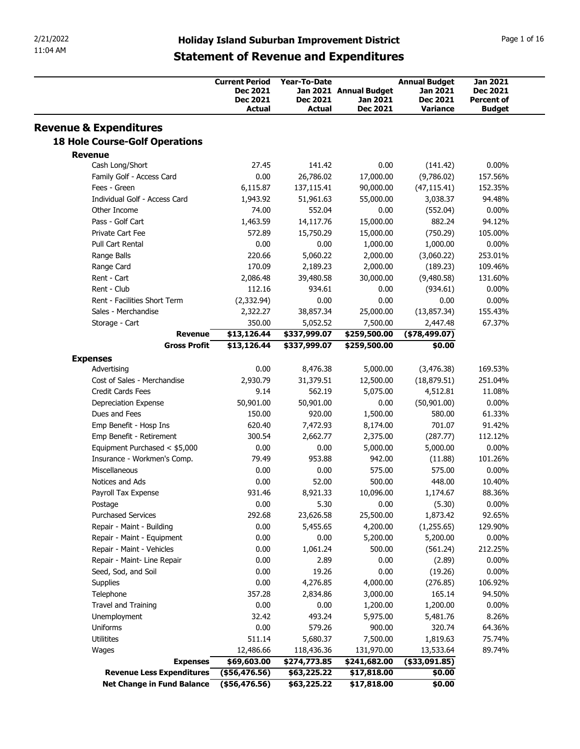| 2/21/2022<br>11:04 AM                                        |                                              |                                                             |                                        |                                    |                                                     |                                                  |
|--------------------------------------------------------------|----------------------------------------------|-------------------------------------------------------------|----------------------------------------|------------------------------------|-----------------------------------------------------|--------------------------------------------------|
|                                                              |                                              |                                                             |                                        |                                    |                                                     |                                                  |
|                                                              |                                              | <b>Holiday Island Suburban Improvement District</b>         |                                        |                                    |                                                     | Page 1 of 16                                     |
|                                                              |                                              | <b>Statement of Revenue and Expenditures</b>                |                                        |                                    |                                                     |                                                  |
|                                                              |                                              |                                                             |                                        |                                    |                                                     |                                                  |
|                                                              |                                              | <b>Current Period</b><br><b>Dec 2021</b><br><b>Dec 2021</b> | <b>Year-To-Date</b><br><b>Dec 2021</b> | Jan 2021 Annual Budget<br>Jan 2021 | <b>Annual Budget</b><br>Jan 2021<br><b>Dec 2021</b> | <b>Jan 2021</b><br>Dec 2021<br><b>Percent of</b> |
|                                                              |                                              | <b>Actual</b>                                               | <b>Actual</b>                          | <b>Dec 2021</b>                    | Variance                                            | <b>Budget</b>                                    |
| <b>Revenue &amp; Expenditures</b>                            |                                              |                                                             |                                        |                                    |                                                     |                                                  |
| <b>18 Hole Course-Golf Operations</b>                        |                                              |                                                             |                                        |                                    |                                                     |                                                  |
| <b>Revenue</b>                                               |                                              |                                                             |                                        |                                    |                                                     |                                                  |
| Cash Long/Short<br>Family Golf - Access Card                 |                                              | 27.45<br>0.00                                               | 141.42<br>26,786.02                    | 0.00<br>17,000.00                  | (141.42)<br>(9,786.02)                              | $0.00\%$<br>157.56%                              |
| Fees - Green                                                 |                                              | 6,115.87                                                    | 137,115.41                             | 90,000.00                          | (47, 115.41)                                        | 152.35%                                          |
| Individual Golf - Access Card                                |                                              | 1,943.92                                                    | 51,961.63                              | 55,000.00                          | 3,038.37                                            | 94.48%                                           |
| Other Income                                                 |                                              | 74.00                                                       | 552.04                                 | 0.00                               | (552.04)                                            | $0.00\%$                                         |
| Pass - Golf Cart                                             |                                              | 1,463.59                                                    | 14,117.76                              | 15,000.00                          | 882.24                                              | 94.12%                                           |
| Private Cart Fee<br>Pull Cart Rental                         |                                              | 572.89<br>0.00                                              | 15,750.29<br>0.00                      | 15,000.00<br>1,000.00              | (750.29)<br>1,000.00                                | 105.00%<br>$0.00\%$                              |
| Range Balls                                                  |                                              | 220.66                                                      | 5,060.22                               | 2,000.00                           | (3,060.22)                                          | 253.01%                                          |
| Range Card                                                   |                                              | 170.09                                                      | 2,189.23                               | 2,000.00                           | (189.23)                                            | 109.46%                                          |
| Rent - Cart                                                  |                                              | 2,086.48                                                    | 39,480.58                              | 30,000.00                          | (9,480.58)                                          | 131.60%                                          |
| Rent - Club                                                  |                                              | 112.16                                                      | 934.61                                 | 0.00                               | (934.61)                                            | $0.00\%$                                         |
| Rent - Facilities Short Term                                 |                                              | (2, 332.94)                                                 | 0.00                                   | 0.00                               | 0.00                                                | $0.00\%$                                         |
| Sales - Merchandise<br>Storage - Cart                        |                                              | 2,322.27<br>350.00                                          | 38,857.34<br>5,052.52                  | 25,000.00<br>7,500.00              | (13, 857.34)<br>2,447.48                            | 155.43%<br>67.37%                                |
|                                                              | <b>Revenue</b>                               | \$13,126.44                                                 | \$337,999.07                           | \$259,500.00                       | (\$78,499.07)                                       |                                                  |
|                                                              | <b>Gross Profit</b>                          | \$13,126.44                                                 | \$337,999.07                           | \$259,500.00                       | \$0.00                                              |                                                  |
| <b>Expenses</b>                                              |                                              |                                                             |                                        |                                    |                                                     |                                                  |
| Advertising                                                  |                                              | 0.00                                                        | 8,476.38                               | 5,000.00                           | (3, 476.38)                                         | 169.53%                                          |
| Cost of Sales - Merchandise<br>Credit Cards Fees             |                                              | 2,930.79<br>9.14                                            | 31,379.51<br>562.19                    | 12,500.00<br>5,075.00              | (18, 879.51)<br>4,512.81                            | 251.04%<br>11.08%                                |
| Depreciation Expense                                         |                                              | 50,901.00                                                   | 50,901.00                              | 0.00                               | (50,901.00)                                         | $0.00\%$                                         |
| Dues and Fees                                                |                                              | 150.00                                                      | 920.00                                 | 1,500.00                           | 580.00                                              | 61.33%                                           |
| Emp Benefit - Hosp Ins                                       |                                              | 620.40                                                      | 7,472.93                               | 8,174.00                           | 701.07                                              | 91.42%                                           |
| Emp Benefit - Retirement                                     |                                              | 300.54                                                      | 2,662.77                               | 2,375.00                           | (287.77)                                            | 112.12%                                          |
| Equipment Purchased < \$5,000<br>Insurance - Workmen's Comp. |                                              | 0.00<br>79.49                                               | 0.00<br>953.88                         | 5,000.00<br>942.00                 | 5,000.00<br>(11.88)                                 | $0.00\%$<br>101.26%                              |
| Miscellaneous                                                |                                              | 0.00                                                        | 0.00                                   | 575.00                             | 575.00                                              | $0.00\%$                                         |
| Notices and Ads                                              |                                              | 0.00                                                        | 52.00                                  | 500.00                             | 448.00                                              | 10.40%                                           |
| Payroll Tax Expense                                          |                                              | 931.46                                                      | 8,921.33                               | 10,096.00                          | 1,174.67                                            | 88.36%                                           |
| Postage                                                      |                                              | 0.00                                                        | 5.30                                   | 0.00                               | (5.30)                                              | $0.00\%$                                         |
| <b>Purchased Services</b><br>Repair - Maint - Building       |                                              | 292.68<br>0.00                                              | 23,626.58<br>5,455.65                  | 25,500.00<br>4,200.00              | 1,873.42<br>(1,255.65)                              | 92.65%<br>129.90%                                |
| Repair - Maint - Equipment                                   |                                              | 0.00                                                        | 0.00                                   | 5,200.00                           | 5,200.00                                            | $0.00\%$                                         |
| Repair - Maint - Vehicles                                    |                                              | 0.00                                                        | 1,061.24                               | 500.00                             | (561.24)                                            | 212.25%                                          |
| Repair - Maint- Line Repair                                  |                                              | 0.00                                                        | 2.89                                   | 0.00                               | (2.89)                                              | $0.00\%$                                         |
| Seed, Sod, and Soil                                          |                                              | 0.00                                                        | 19.26                                  | 0.00                               | (19.26)                                             | $0.00\%$                                         |
| Supplies                                                     |                                              | 0.00                                                        | 4,276.85                               | 4,000.00                           | (276.85)                                            | 106.92%                                          |
| Telephone<br>Travel and Training                             |                                              | 357.28<br>0.00                                              | 2,834.86<br>0.00                       | 3,000.00<br>1,200.00               | 165.14<br>1,200.00                                  | 94.50%<br>$0.00\%$                               |
| Unemployment                                                 |                                              | 32.42                                                       | 493.24                                 | 5,975.00                           | 5,481.76                                            | 8.26%                                            |
|                                                              |                                              | 0.00                                                        | 579.26                                 | 900.00                             | 320.74                                              | 64.36%                                           |
| Uniforms                                                     |                                              | 511.14                                                      | 5,680.37                               | 7,500.00                           | 1,819.63                                            | 75.74%                                           |
| Utilitites                                                   |                                              |                                                             |                                        |                                    |                                                     | 89.74%                                           |
| Wages                                                        |                                              | 12,486.66                                                   | 118,436.36                             | 131,970.00                         | 13,533.64                                           |                                                  |
|                                                              | <b>Expenses</b><br>Revenue Less Expenditures | \$69,603.00<br>(\$56,476.56)                                | \$274,773.85<br>\$63,225.22            | \$241,682.00<br>\$17,818.00        | $($ \$33,091.85)<br>\$0.00                          |                                                  |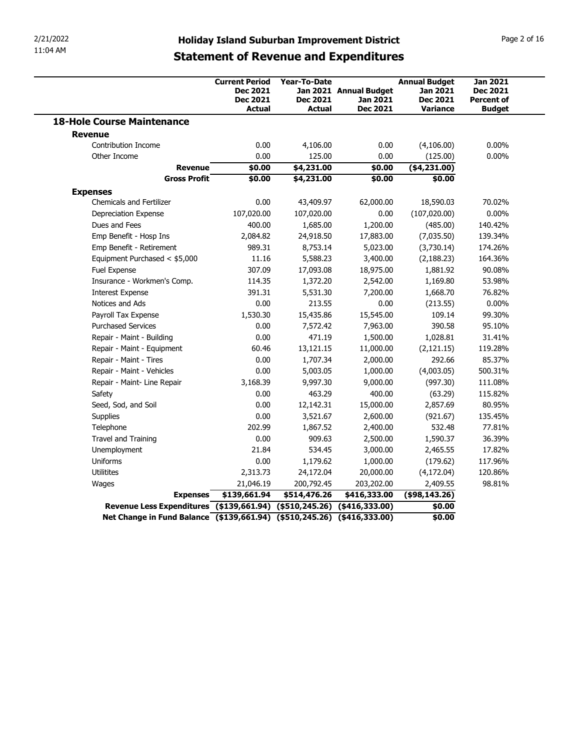| 2/21/2022                                          |                                                                         |                                                         |                                                       |                                                                        |                                                                          |
|----------------------------------------------------|-------------------------------------------------------------------------|---------------------------------------------------------|-------------------------------------------------------|------------------------------------------------------------------------|--------------------------------------------------------------------------|
| 11:04 AM                                           | <b>Statement of Revenue and Expenditures</b>                            |                                                         | <b>Holiday Island Suburban Improvement District</b>   |                                                                        | Page 2 of 16                                                             |
|                                                    | <b>Current Period</b><br><b>Dec 2021</b><br><b>Dec 2021</b><br>Actual   | <b>Year-To-Date</b><br><b>Dec 2021</b><br><b>Actual</b> | Jan 2021 Annual Budget<br><b>Jan 2021</b><br>Dec 2021 | <b>Annual Budget</b><br>Jan 2021<br><b>Dec 2021</b><br><b>Variance</b> | <b>Jan 2021</b><br><b>Dec 2021</b><br><b>Percent of</b><br><b>Budget</b> |
| <b>18-Hole Course Maintenance</b>                  |                                                                         |                                                         |                                                       |                                                                        |                                                                          |
| <b>Revenue</b>                                     |                                                                         |                                                         |                                                       |                                                                        |                                                                          |
| Contribution Income                                | 0.00                                                                    | 4,106.00                                                | 0.00                                                  | (4,106.00)                                                             | $0.00\%$                                                                 |
| Other Income                                       | 0.00                                                                    | 125.00                                                  | 0.00                                                  | (125.00)                                                               | $0.00\%$                                                                 |
|                                                    | \$0.00<br>Revenue<br><b>Gross Profit</b><br>\$0.00                      | \$4,231.00<br>\$4,231.00                                | \$0.00<br>\$0.00                                      | ( \$4, 231.00)<br>\$0.00                                               |                                                                          |
|                                                    |                                                                         |                                                         |                                                       |                                                                        |                                                                          |
| <b>Expenses</b><br><b>Chemicals and Fertilizer</b> | 0.00                                                                    | 43,409.97                                               | 62,000.00                                             | 18,590.03                                                              | 70.02%                                                                   |
| Depreciation Expense                               | 107,020.00                                                              | 107,020.00                                              | $0.00\,$                                              | (107, 020.00)                                                          | $0.00\%$                                                                 |
| Dues and Fees                                      | 400.00                                                                  | 1,685.00                                                | 1,200.00                                              | (485.00)                                                               | 140.42%                                                                  |
| Emp Benefit - Hosp Ins                             | 2,084.82                                                                | 24,918.50                                               | 17,883.00                                             | (7,035.50)                                                             | 139.34%                                                                  |
| Emp Benefit - Retirement                           | 989.31                                                                  | 8,753.14                                                | 5,023.00                                              | (3,730.14)                                                             | 174.26%                                                                  |
| Equipment Purchased < \$5,000                      | 11.16                                                                   | 5,588.23                                                | 3,400.00                                              | (2, 188.23)                                                            | 164.36%                                                                  |
| Fuel Expense                                       | 307.09                                                                  | 17,093.08                                               | 18,975.00                                             | 1,881.92                                                               | 90.08%                                                                   |
| Insurance - Workmen's Comp.                        | 114.35                                                                  | 1,372.20                                                | 2,542.00                                              | 1,169.80                                                               | 53.98%                                                                   |
| <b>Interest Expense</b>                            | 391.31                                                                  | 5,531.30                                                | 7,200.00                                              | 1,668.70                                                               | 76.82%                                                                   |
| Notices and Ads                                    | 0.00                                                                    | 213.55                                                  | 0.00                                                  | (213.55)                                                               | $0.00\%$                                                                 |
| Payroll Tax Expense<br><b>Purchased Services</b>   | 1,530.30                                                                | 15,435.86                                               | 15,545.00                                             | 109.14                                                                 | 99.30%                                                                   |
| Repair - Maint - Building                          | 0.00<br>0.00                                                            | 7,572.42<br>471.19                                      | 7,963.00<br>1,500.00                                  | 390.58<br>1,028.81                                                     | 95.10%<br>31.41%                                                         |
| Repair - Maint - Equipment                         | 60.46                                                                   | 13,121.15                                               | 11,000.00                                             | (2,121.15)                                                             | 119.28%                                                                  |
| Repair - Maint - Tires                             | 0.00                                                                    | 1,707.34                                                | 2,000.00                                              | 292.66                                                                 | 85.37%                                                                   |
| Repair - Maint - Vehicles                          | 0.00                                                                    | 5,003.05                                                | 1,000.00                                              | (4,003.05)                                                             | 500.31%                                                                  |
| Repair - Maint- Line Repair                        | 3,168.39                                                                | 9,997.30                                                | 9,000.00                                              | (997.30)                                                               | 111.08%                                                                  |
| Safety                                             | 0.00                                                                    | 463.29                                                  | 400.00                                                | (63.29)                                                                | 115.82%                                                                  |
| Seed, Sod, and Soil                                | 0.00                                                                    | 12,142.31                                               | 15,000.00                                             | 2,857.69                                                               | 80.95%                                                                   |
| Supplies                                           | 0.00                                                                    | 3,521.67                                                | 2,600.00                                              | (921.67)                                                               | 135.45%                                                                  |
| Telephone                                          | 202.99                                                                  | 1,867.52                                                | 2,400.00                                              | 532.48                                                                 | 77.81%                                                                   |
| Travel and Training                                | 0.00                                                                    | 909.63                                                  | 2,500.00                                              | 1,590.37                                                               | 36.39%                                                                   |
| Unemployment                                       | 21.84                                                                   | 534.45                                                  | 3,000.00                                              | 2,465.55                                                               | 17.82%                                                                   |
| Uniforms                                           | 0.00                                                                    | 1,179.62                                                | 1,000.00                                              | (179.62)                                                               | 117.96%                                                                  |
| Utilitites                                         | 2,313.73                                                                | 24,172.04                                               | 20,000.00                                             | (4,172.04)                                                             | 120.86%                                                                  |
| Wages                                              | 21,046.19                                                               | 200,792.45                                              | 203,202.00                                            | 2,409.55                                                               | 98.81%                                                                   |
|                                                    | \$139,661.94<br><b>Expenses</b>                                         | \$514,476.26                                            | \$416,333.00                                          | (\$98,143.26)                                                          |                                                                          |
|                                                    | Revenue Less Expenditures (\$139,661.94) (\$510,245.26) (\$416,333.00)  |                                                         |                                                       | \$0.00                                                                 |                                                                          |
|                                                    | Net Change in Fund Balance (\$139,661.94) (\$510,245.26) (\$416,333.00) |                                                         |                                                       | \$0.00                                                                 |                                                                          |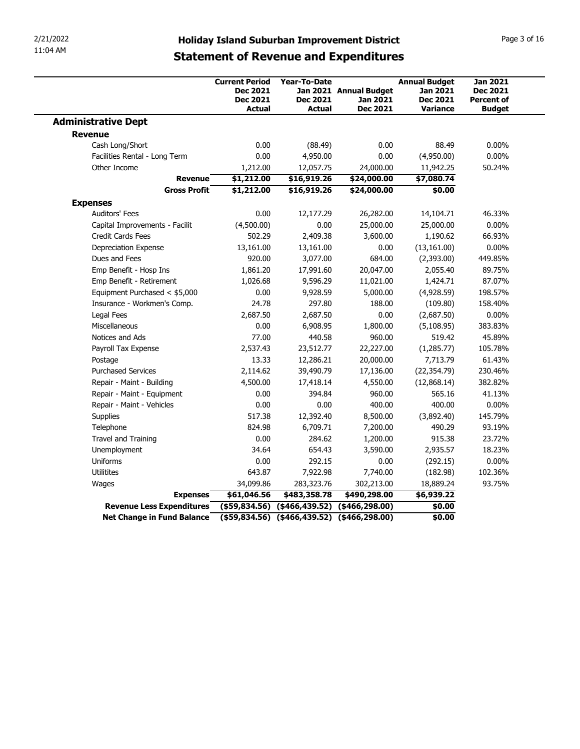| 2/21/2022                                               |                                                                                                                              |                                                         |                                                       |                                                                        |                                                         |
|---------------------------------------------------------|------------------------------------------------------------------------------------------------------------------------------|---------------------------------------------------------|-------------------------------------------------------|------------------------------------------------------------------------|---------------------------------------------------------|
| 11:04 AM                                                | <b>Holiday Island Suburban Improvement District</b>                                                                          |                                                         |                                                       |                                                                        | Page 3 of 16                                            |
|                                                         | <b>Statement of Revenue and Expenditures</b><br><b>Current Period</b><br><b>Dec 2021</b><br><b>Dec 2021</b><br><b>Actual</b> | <b>Year-To-Date</b><br><b>Dec 2021</b><br><b>Actual</b> | Jan 2021 Annual Budget<br><b>Jan 2021</b><br>Dec 2021 | <b>Annual Budget</b><br>Jan 2021<br><b>Dec 2021</b><br><b>Variance</b> | <b>Jan 2021</b><br><b>Dec 2021</b><br><b>Percent of</b> |
| <b>Administrative Dept</b>                              |                                                                                                                              |                                                         |                                                       |                                                                        | <b>Budget</b>                                           |
| <b>Revenue</b>                                          |                                                                                                                              |                                                         |                                                       |                                                                        |                                                         |
| Cash Long/Short                                         | 0.00                                                                                                                         | (88.49)                                                 | 0.00                                                  | 88.49                                                                  | $0.00\%$                                                |
| Facilities Rental - Long Term                           | 0.00                                                                                                                         | 4,950.00                                                | 0.00                                                  | (4,950.00)                                                             | $0.00\%$                                                |
| Other Income                                            | 1,212.00                                                                                                                     | 12,057.75                                               | 24,000.00                                             | 11,942.25                                                              | 50.24%                                                  |
| <b>Revenue</b>                                          | \$1,212.00                                                                                                                   | \$16,919.26                                             | \$24,000.00                                           | \$7,080.74                                                             |                                                         |
| <b>Gross Profit</b>                                     | \$1,212.00                                                                                                                   | \$16,919.26                                             | \$24,000.00                                           | \$0.00                                                                 |                                                         |
| <b>Expenses</b>                                         |                                                                                                                              |                                                         |                                                       |                                                                        |                                                         |
| Auditors' Fees                                          | 0.00                                                                                                                         | 12,177.29                                               | 26,282.00                                             | 14,104.71                                                              | 46.33%                                                  |
| Capital Improvements - Facilit                          | (4,500.00)                                                                                                                   | 0.00                                                    | 25,000.00                                             | 25,000.00                                                              | $0.00\%$                                                |
| Credit Cards Fees                                       | 502.29                                                                                                                       | 2,409.38                                                | 3,600.00                                              | 1,190.62                                                               | 66.93%                                                  |
| Depreciation Expense<br>Dues and Fees                   | 13,161.00                                                                                                                    | 13,161.00                                               | 0.00<br>684.00                                        | (13, 161.00)                                                           | $0.00\%$<br>449.85%                                     |
| Emp Benefit - Hosp Ins                                  | 920.00<br>1,861.20                                                                                                           | 3,077.00<br>17,991.60                                   | 20,047.00                                             | (2,393.00)<br>2,055.40                                                 | 89.75%                                                  |
| Emp Benefit - Retirement                                | 1,026.68                                                                                                                     | 9,596.29                                                | 11,021.00                                             | 1,424.71                                                               | 87.07%                                                  |
| Equipment Purchased < \$5,000                           | 0.00                                                                                                                         | 9,928.59                                                | 5,000.00                                              | (4,928.59)                                                             | 198.57%                                                 |
| Insurance - Workmen's Comp.                             | 24.78                                                                                                                        | 297.80                                                  | 188.00                                                | (109.80)                                                               | 158.40%                                                 |
| Legal Fees                                              | 2,687.50                                                                                                                     | 2,687.50                                                | 0.00                                                  | (2,687.50)                                                             | $0.00\%$                                                |
| Miscellaneous                                           | 0.00                                                                                                                         | 6,908.95                                                | 1,800.00                                              | (5, 108.95)                                                            | 383.83%                                                 |
| Notices and Ads                                         | 77.00                                                                                                                        | 440.58                                                  | 960.00                                                | 519.42                                                                 | 45.89%                                                  |
| Payroll Tax Expense                                     | 2,537.43                                                                                                                     | 23,512.77                                               | 22,227.00                                             | (1,285.77)                                                             | 105.78%                                                 |
| Postage                                                 | 13.33                                                                                                                        | 12,286.21                                               | 20,000.00                                             | 7,713.79                                                               | 61.43%                                                  |
| <b>Purchased Services</b>                               | 2,114.62                                                                                                                     | 39,490.79                                               | 17,136.00                                             | (22, 354.79)                                                           | 230.46%                                                 |
| Repair - Maint - Building                               | 4,500.00                                                                                                                     | 17,418.14                                               | 4,550.00                                              | (12,868.14)                                                            | 382.82%                                                 |
| Repair - Maint - Equipment                              | 0.00                                                                                                                         | 394.84                                                  | 960.00                                                | 565.16                                                                 | 41.13%                                                  |
| Repair - Maint - Vehicles                               | 0.00                                                                                                                         | 0.00                                                    | 400.00                                                | 400.00                                                                 | $0.00\%$                                                |
| Supplies                                                | 517.38                                                                                                                       | 12,392.40                                               | 8,500.00                                              | (3,892.40)                                                             | 145.79%                                                 |
| Telephone                                               | 824.98                                                                                                                       | 6,709.71                                                | 7,200.00                                              | 490.29                                                                 | 93.19%                                                  |
| Travel and Training                                     | 0.00                                                                                                                         | 284.62                                                  | 1,200.00                                              | 915.38                                                                 | 23.72%                                                  |
| Unemployment                                            | 34.64                                                                                                                        | 654.43                                                  | 3,590.00                                              | 2,935.57                                                               | 18.23%                                                  |
| Uniforms                                                | 0.00                                                                                                                         | 292.15                                                  | 0.00                                                  | (292.15)                                                               | $0.00\%$                                                |
| Utilitites                                              | 643.87                                                                                                                       | 7,922.98                                                | 7,740.00                                              | (182.98)                                                               | 102.36%                                                 |
| Wages                                                   | 34,099.86                                                                                                                    | 283,323.76                                              | 302,213.00                                            | 18,889.24                                                              | 93.75%                                                  |
| <b>Expenses</b>                                         | \$61,046.56                                                                                                                  | \$483,358.78                                            | \$490,298.00                                          | \$6,939.22                                                             |                                                         |
|                                                         | $($ \$59,834.56) (\$466,439.52) (\$466,298.00)                                                                               |                                                         |                                                       |                                                                        |                                                         |
| Revenue Less Expenditures<br>Net Change in Fund Balance |                                                                                                                              |                                                         | (\$59,834.56) (\$466,439.52) (\$466,298.00)           | \$0.00<br>\$0.00                                                       |                                                         |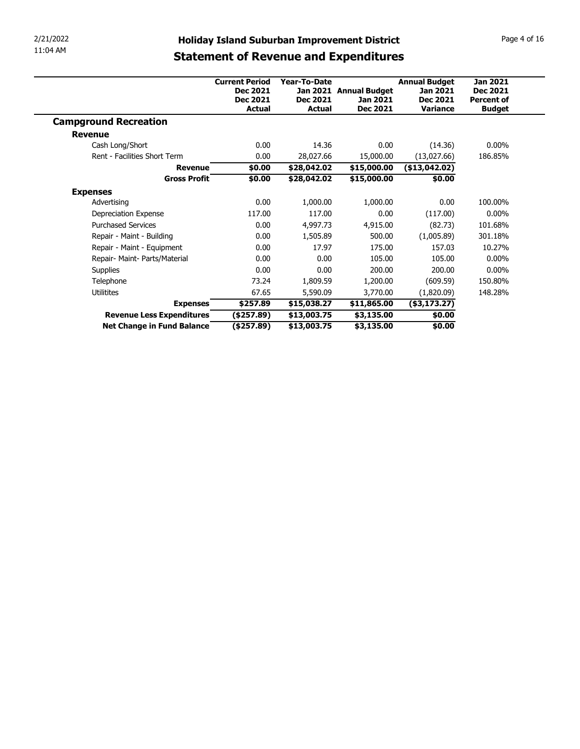| 11:04 AM | <b>Statement of Revenue and Expenditures</b> |  |
|----------|----------------------------------------------|--|
|          |                                              |  |

| 2/21/2022                                    | <b>Holiday Island Suburban Improvement District</b> |                            |                           |                                         | Page 4 of 16                       |  |  |
|----------------------------------------------|-----------------------------------------------------|----------------------------|---------------------------|-----------------------------------------|------------------------------------|--|--|
| 11:04 AM                                     | <b>Statement of Revenue and Expenditures</b>        |                            |                           |                                         |                                    |  |  |
|                                              |                                                     |                            |                           |                                         |                                    |  |  |
|                                              | <b>Current Period</b><br><b>Dec 2021</b>            | Year-To-Date               | Jan 2021 Annual Budget    | <b>Annual Budget</b><br><b>Jan 2021</b> | <b>Jan 2021</b><br><b>Dec 2021</b> |  |  |
|                                              | <b>Dec 2021</b><br><b>Actual</b>                    | Dec 2021<br><b>Actual</b>  | Jan 2021<br>Dec 2021      | <b>Dec 2021</b><br>Variance             | <b>Percent of</b><br><b>Budget</b> |  |  |
| <b>Campground Recreation</b>                 |                                                     |                            |                           |                                         |                                    |  |  |
|                                              |                                                     |                            |                           |                                         |                                    |  |  |
| <b>Revenue</b>                               |                                                     |                            |                           |                                         |                                    |  |  |
| Cash Long/Short                              | 0.00                                                | 14.36                      | 0.00                      | (14.36)                                 | $0.00\%$                           |  |  |
| Rent - Facilities Short Term                 | 0.00                                                | 28,027.66                  | 15,000.00                 | (13,027.66)                             | 186.85%                            |  |  |
| <b>Revenue</b>                               | \$0.00                                              | \$28,042.02                | \$15,000.00               | $(*13,042.02)$                          |                                    |  |  |
| <b>Gross Profit</b>                          | \$0.00                                              | \$28,042.02                | \$15,000.00               | \$0.00                                  |                                    |  |  |
| <b>Expenses</b>                              |                                                     |                            |                           |                                         |                                    |  |  |
| Advertising                                  | 0.00                                                | 1,000.00                   | 1,000.00                  | 0.00                                    | 100.00%                            |  |  |
| Depreciation Expense                         | 117.00                                              | 117.00                     | $0.00\,$                  | (117.00)                                | $0.00\%$                           |  |  |
| <b>Purchased Services</b>                    | 0.00                                                | 4,997.73                   | 4,915.00                  | (82.73)                                 | 101.68%                            |  |  |
| Repair - Maint - Building                    | 0.00                                                | 1,505.89                   | 500.00                    | (1,005.89)                              | 301.18%                            |  |  |
| Repair - Maint - Equipment                   | 0.00                                                | 17.97                      | 175.00                    | 157.03                                  | 10.27%                             |  |  |
| Repair- Maint- Parts/Material                | 0.00                                                | 0.00                       | 105.00                    | 105.00                                  | $0.00\%$                           |  |  |
| Supplies                                     | 0.00                                                | 0.00                       | 200.00                    | 200.00                                  | $0.00\%$                           |  |  |
| Telephone                                    | 73.24                                               | 1,809.59                   | 1,200.00                  | (609.59)                                | 150.80%                            |  |  |
| Utilitites                                   | 67.65                                               | 5,590.09                   | 3,770.00                  | (1,820.09)                              | 148.28%                            |  |  |
| <b>Expenses</b><br>Revenue Less Expenditures | \$257.89<br>(\$257.89)                              | \$15,038.27<br>\$13,003.75 | \$11,865.00<br>\$3,135.00 | $($ \$3,173.27 $)$<br>\$0.00            |                                    |  |  |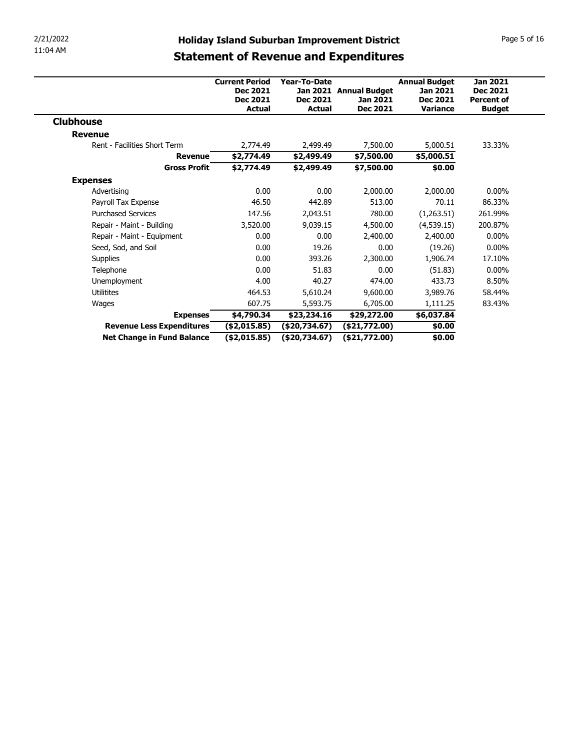| 2/21/2022                                               |                       |                                | <b>Holiday Island Suburban Improvement District</b> |                      | Page 5 of 16      |
|---------------------------------------------------------|-----------------------|--------------------------------|-----------------------------------------------------|----------------------|-------------------|
| 11:04 AM                                                |                       |                                | <b>Statement of Revenue and Expenditures</b>        |                      |                   |
|                                                         |                       |                                |                                                     |                      |                   |
|                                                         | <b>Current Period</b> | Year-To-Date                   |                                                     | <b>Annual Budget</b> | <b>Jan 2021</b>   |
|                                                         | <b>Dec 2021</b>       |                                | Jan 2021 Annual Budget                              | Jan 2021             | <b>Dec 2021</b>   |
|                                                         | <b>Dec 2021</b>       | <b>Dec 2021</b>                | Jan 2021                                            | <b>Dec 2021</b>      | <b>Percent of</b> |
|                                                         | <b>Actual</b>         | <b>Actual</b>                  | <b>Dec 2021</b>                                     | <b>Variance</b>      | <b>Budget</b>     |
| <b>Clubhouse</b>                                        |                       |                                |                                                     |                      |                   |
|                                                         |                       |                                |                                                     |                      |                   |
| <b>Revenue</b>                                          |                       | 2,499.49                       | 7,500.00                                            | 5,000.51             | 33.33%            |
| Rent - Facilities Short Term                            | 2,774.49              |                                |                                                     |                      |                   |
| <b>Revenue</b>                                          | \$2,774.49            | \$2,499.49                     | \$7,500.00                                          | \$5,000.51           |                   |
| <b>Gross Profit</b>                                     | \$2,774.49            | \$2,499.49                     | \$7,500.00                                          | \$0.00               |                   |
| <b>Expenses</b>                                         |                       |                                |                                                     |                      |                   |
| Advertising                                             | 0.00                  | 0.00                           | 2,000.00                                            | 2,000.00             | $0.00\%$          |
| Payroll Tax Expense                                     | 46.50                 | 442.89                         | 513.00                                              | 70.11                | 86.33%            |
| <b>Purchased Services</b>                               | 147.56                | 2,043.51                       | 780.00                                              | (1,263.51)           | 261.99%           |
| Repair - Maint - Building                               | 3,520.00              | 9,039.15                       | 4,500.00                                            | (4,539.15)           | 200.87%           |
| Repair - Maint - Equipment                              | 0.00                  | 0.00                           | 2,400.00                                            | 2,400.00             | $0.00\%$          |
| Seed, Sod, and Soil                                     | 0.00                  | 19.26                          | 0.00                                                | (19.26)              | $0.00\%$          |
| Supplies                                                | 0.00                  | 393.26                         | 2,300.00                                            | 1,906.74             | 17.10%            |
| Telephone                                               | 0.00                  | 51.83                          | 0.00                                                | (51.83)              | $0.00\%$          |
| Unemployment                                            | 4.00                  | 40.27                          | 474.00                                              | 433.73               | 8.50%             |
| Utilitites                                              | 464.53                | 5,610.24                       | 9,600.00                                            | 3,989.76             | 58.44%            |
| Wages                                                   | 607.75                | 5,593.75                       | 6,705.00                                            | 1,111.25             | 83.43%            |
| <b>Expenses</b>                                         | \$4,790.34            | \$23,234.16                    | \$29,272.00                                         | \$6,037.84           |                   |
| Revenue Less Expenditures<br>Net Change in Fund Balance | (\$2,015.85)          | (\$20,734.67)<br>(\$20,734.67) | (\$21,772.00)                                       | \$0.00<br>\$0.00     |                   |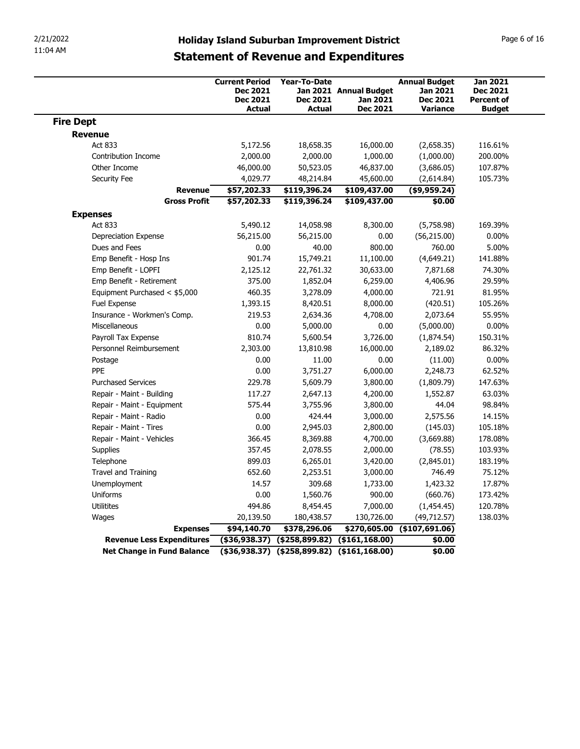| 2/21/2022        |                                                         |                                                      | <b>Holiday Island Suburban Improvement District</b>  |                             |                                    | Page 6 of 16                       |
|------------------|---------------------------------------------------------|------------------------------------------------------|------------------------------------------------------|-----------------------------|------------------------------------|------------------------------------|
| 11:04 AM         |                                                         |                                                      | <b>Statement of Revenue and Expenditures</b>         |                             |                                    |                                    |
|                  |                                                         |                                                      |                                                      |                             |                                    |                                    |
|                  |                                                         | <b>Current Period</b><br><b>Dec 2021</b>             | <b>Year-To-Date</b>                                  | Jan 2021 Annual Budget      | <b>Annual Budget</b><br>Jan 2021   | <b>Jan 2021</b><br><b>Dec 2021</b> |
|                  |                                                         | <b>Dec 2021</b><br><b>Actual</b>                     | <b>Dec 2021</b><br><b>Actual</b>                     | Jan 2021<br><b>Dec 2021</b> | <b>Dec 2021</b><br><b>Variance</b> | <b>Percent of</b><br><b>Budget</b> |
| <b>Fire Dept</b> |                                                         |                                                      |                                                      |                             |                                    |                                    |
| <b>Revenue</b>   |                                                         |                                                      |                                                      |                             |                                    |                                    |
|                  | Act 833                                                 | 5,172.56                                             | 18,658.35                                            | 16,000.00                   | (2,658.35)                         | 116.61%                            |
|                  | Contribution Income<br>Other Income                     | 2,000.00<br>46,000.00                                | 2,000.00<br>50,523.05                                | 1,000.00<br>46,837.00       | (1,000.00)<br>(3,686.05)           | 200.00%<br>107.87%                 |
|                  | Security Fee                                            | 4,029.77                                             | 48,214.84                                            | 45,600.00                   | (2,614.84)                         | 105.73%                            |
|                  | Revenue                                                 | \$57,202.33                                          | \$119,396.24                                         | \$109,437.00                | $($ \$9,959.24)                    |                                    |
|                  | <b>Gross Profit</b>                                     | \$57,202.33                                          | \$119,396.24                                         | \$109,437.00                | \$0.00                             |                                    |
| <b>Expenses</b>  | Act 833                                                 | 5,490.12                                             | 14,058.98                                            | 8,300.00                    | (5,758.98)                         | 169.39%                            |
|                  | Depreciation Expense                                    | 56,215.00                                            | 56,215.00                                            | 0.00                        | (56, 215.00)                       | $0.00\%$                           |
|                  | Dues and Fees                                           | 0.00                                                 | 40.00                                                | 800.00                      | 760.00                             | 5.00%                              |
|                  | Emp Benefit - Hosp Ins                                  | 901.74                                               | 15,749.21                                            | 11,100.00                   | (4,649.21)                         | 141.88%                            |
|                  | Emp Benefit - LOPFI<br>Emp Benefit - Retirement         | 2,125.12<br>375.00                                   | 22,761.32<br>1,852.04                                | 30,633.00<br>6,259.00       | 7,871.68<br>4,406.96               | 74.30%<br>29.59%                   |
|                  | Equipment Purchased < \$5,000                           | 460.35                                               | 3,278.09                                             | 4,000.00                    | 721.91                             | 81.95%                             |
|                  | Fuel Expense                                            | 1,393.15                                             | 8,420.51                                             | 8,000.00                    | (420.51)                           | 105.26%                            |
|                  | Insurance - Workmen's Comp.                             | 219.53                                               | 2,634.36                                             | 4,708.00                    | 2,073.64                           | 55.95%                             |
|                  | Miscellaneous<br>Payroll Tax Expense                    | 0.00<br>810.74                                       | 5,000.00<br>5,600.54                                 | 0.00<br>3,726.00            | (5,000.00)<br>(1,874.54)           | $0.00\%$<br>150.31%                |
|                  | Personnel Reimbursement                                 | 2,303.00                                             | 13,810.98                                            | 16,000.00                   | 2,189.02                           | 86.32%                             |
|                  | Postage                                                 | 0.00                                                 | 11.00                                                | 0.00                        | (11.00)                            | $0.00\%$                           |
|                  | PPE                                                     | 0.00                                                 | 3,751.27                                             | 6,000.00                    | 2,248.73                           | 62.52%                             |
|                  | <b>Purchased Services</b>                               | 229.78                                               | 5,609.79                                             | 3,800.00                    | (1,809.79)                         | 147.63%                            |
|                  | Repair - Maint - Building<br>Repair - Maint - Equipment | 117.27<br>575.44                                     | 2,647.13<br>3,755.96                                 | 4,200.00<br>3,800.00        | 1,552.87<br>44.04                  | 63.03%<br>98.84%                   |
|                  | Repair - Maint - Radio                                  | 0.00                                                 | 424.44                                               | 3,000.00                    | 2,575.56                           | 14.15%                             |
|                  | Repair - Maint - Tires                                  | 0.00                                                 | 2,945.03                                             | 2,800.00                    | (145.03)                           | 105.18%                            |
|                  | Repair - Maint - Vehicles                               | 366.45                                               | 8,369.88                                             | 4,700.00                    | (3,669.88)                         | 178.08%                            |
|                  | Supplies<br>Telephone                                   | 357.45<br>899.03                                     | 2,078.55<br>6,265.01                                 | 2,000.00<br>3,420.00        | (78.55)<br>(2,845.01)              | 103.93%<br>183.19%                 |
|                  | Travel and Training                                     | 652.60                                               | 2,253.51                                             | 3,000.00                    | 746.49                             | 75.12%                             |
|                  | Unemployment                                            | 14.57                                                | 309.68                                               | 1,733.00                    | 1,423.32                           | 17.87%                             |
|                  | Uniforms                                                | 0.00                                                 | 1,560.76                                             | 900.00                      | (660.76)                           | 173.42%                            |
|                  | Utilitites                                              | 494.86                                               | 8,454.45                                             | 7,000.00                    | (1,454.45)<br>(49, 712.57)         | 120.78%<br>138.03%                 |
|                  | Wages<br><b>Expenses</b>                                | 20,139.50<br>\$94,140.70                             | 180,438.57<br>\$378,296.06                           | 130,726.00                  | $$270,605.00$ (\$107,691.06)       |                                    |
|                  | Revenue Less Expenditures                               |                                                      | $($ \$36,938.37) $($ \$258,899.82) $($ \$161,168.00) |                             | \$0.00                             |                                    |
|                  | <b>Net Change in Fund Balance</b>                       | $($ \$36,938.37) $($ \$258,899.82) $($ \$161,168.00) |                                                      |                             |                                    |                                    |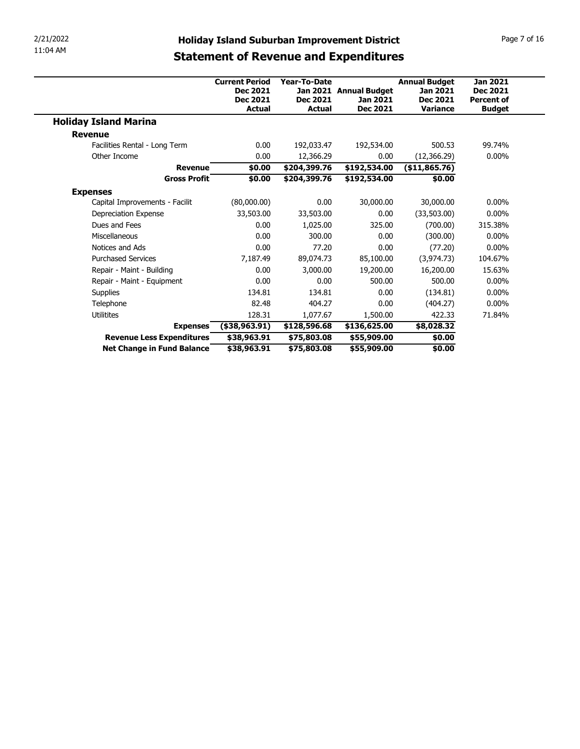| 2/21/2022                              | <b>Holiday Island Suburban Improvement District</b> |                     |                        |                          | Page 7 of 16         |
|----------------------------------------|-----------------------------------------------------|---------------------|------------------------|--------------------------|----------------------|
| 11:04 AM                               |                                                     |                     |                        |                          |                      |
|                                        | <b>Statement of Revenue and Expenditures</b>        |                     |                        |                          |                      |
|                                        | <b>Current Period</b>                               | <b>Year-To-Date</b> |                        | <b>Annual Budget</b>     | <b>Jan 2021</b>      |
|                                        | <b>Dec 2021</b>                                     |                     | Jan 2021 Annual Budget | Jan 2021                 | <b>Dec 2021</b>      |
|                                        | <b>Dec 2021</b>                                     | <b>Dec 2021</b>     | Jan 2021               | Dec 2021                 | <b>Percent of</b>    |
|                                        | Actual                                              | <b>Actual</b>       | <b>Dec 2021</b>        | <b>Variance</b>          | <b>Budget</b>        |
| <b>Holiday Island Marina</b>           |                                                     |                     |                        |                          |                      |
| <b>Revenue</b>                         |                                                     |                     |                        |                          |                      |
| Facilities Rental - Long Term          | 0.00                                                | 192,033.47          | 192,534.00             | 500.53                   | 99.74%               |
| Other Income                           | 0.00                                                | 12,366.29           | 0.00                   | (12, 366.29)             | $0.00\%$             |
| <b>Revenue</b>                         | \$0.00                                              | \$204,399.76        | \$192,534.00           | (\$11,865.76)            |                      |
| <b>Gross Profit</b>                    | \$0.00                                              | \$204,399.76        | \$192,534.00           | \$0.00                   |                      |
| <b>Expenses</b>                        |                                                     |                     |                        |                          |                      |
|                                        |                                                     | 0.00                | 30,000.00              | 30,000.00<br>(33,503.00) | $0.00\%$             |
| Capital Improvements - Facilit         | (80,000.00)                                         |                     |                        |                          |                      |
| Depreciation Expense                   | 33,503.00                                           | 33,503.00           | 0.00                   |                          | $0.00\%$             |
| Dues and Fees                          | 0.00                                                | 1,025.00            | 325.00                 | (700.00)                 | 315.38%              |
| Miscellaneous                          | $0.00\,$                                            | 300.00              | 0.00                   | (300.00)                 | $0.00\%$             |
| Notices and Ads                        | 0.00                                                | 77.20               | 0.00                   | (77.20)                  | $0.00\%$             |
| <b>Purchased Services</b>              | 7,187.49                                            | 89,074.73           | 85,100.00              | (3,974.73)               | 104.67%              |
| Repair - Maint - Building              | 0.00                                                | 3,000.00            | 19,200.00              | 16,200.00                | 15.63%               |
| Repair - Maint - Equipment<br>Supplies | 0.00<br>134.81                                      | 0.00<br>134.81      | 500.00<br>0.00         | 500.00<br>(134.81)       | $0.00\%$<br>$0.00\%$ |
| Telephone                              | 82.48                                               | 404.27              | 0.00                   | (404.27)                 | $0.00\%$             |
| Utilitites                             | 128.31                                              | 1,077.67            | 1,500.00               | 422.33                   | 71.84%               |
| <b>Expenses</b>                        | $($ \$38,963.91)                                    | \$128,596.68        | \$136,625.00           | \$8,028.32               |                      |
| Revenue Less Expenditures              | \$38,963.91                                         | \$75,803.08         | \$55,909.00            | \$0.00                   |                      |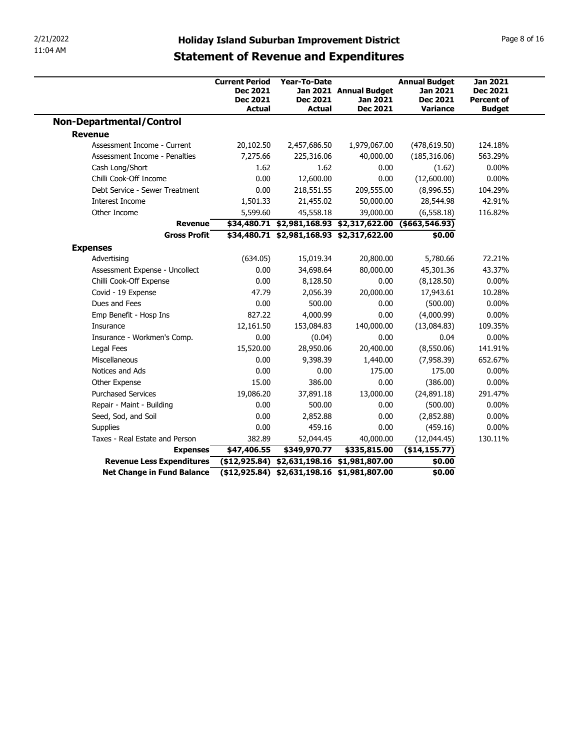| 2/21/2022<br>11:04 AM            |                                                                       |                                                         |                                                          |                                                                        |                                                                          |
|----------------------------------|-----------------------------------------------------------------------|---------------------------------------------------------|----------------------------------------------------------|------------------------------------------------------------------------|--------------------------------------------------------------------------|
|                                  | <b>Statement of Revenue and Expenditures</b>                          |                                                         | <b>Holiday Island Suburban Improvement District</b>      |                                                                        | Page 8 of 16                                                             |
|                                  | <b>Current Period</b><br>Dec 2021<br><b>Dec 2021</b><br><b>Actual</b> | <b>Year-To-Date</b><br><b>Dec 2021</b><br><b>Actual</b> | Jan 2021 Annual Budget<br>Jan 2021<br><b>Dec 2021</b>    | <b>Annual Budget</b><br>Jan 2021<br><b>Dec 2021</b><br><b>Variance</b> | <b>Jan 2021</b><br><b>Dec 2021</b><br><b>Percent of</b><br><b>Budget</b> |
| <b>Non-Departmental/Control</b>  |                                                                       |                                                         |                                                          |                                                                        |                                                                          |
| <b>Revenue</b>                   |                                                                       |                                                         |                                                          |                                                                        |                                                                          |
| Assessment Income - Current      | 20,102.50                                                             | 2,457,686.50                                            | 1,979,067.00                                             | (478, 619.50)                                                          | 124.18%                                                                  |
| Assessment Income - Penalties    | 7,275.66                                                              | 225,316.06                                              | 40,000.00                                                | (185, 316.06)                                                          | 563.29%                                                                  |
| Cash Long/Short                  | 1.62                                                                  | 1.62                                                    | 0.00                                                     | (1.62)                                                                 | $0.00\%$                                                                 |
| Chilli Cook-Off Income           | 0.00                                                                  | 12,600.00                                               | 0.00                                                     | (12,600.00)                                                            | $0.00\%$                                                                 |
| Debt Service - Sewer Treatment   | 0.00                                                                  | 218,551.55                                              | 209,555.00                                               | (8,996.55)                                                             | 104.29%                                                                  |
| Interest Income                  | 1,501.33                                                              | 21,455.02                                               | 50,000.00                                                | 28,544.98                                                              | 42.91%                                                                   |
| Other Income                     | 5,599.60                                                              | 45,558.18                                               | 39,000.00                                                | (6, 558.18)                                                            | 116.82%                                                                  |
| <b>Revenue</b>                   |                                                                       |                                                         | \$34,480.71 \$2,981,168.93 \$2,317,622.00 (\$663,546.93) |                                                                        |                                                                          |
| <b>Gross Profit</b>              |                                                                       |                                                         | \$34,480.71 \$2,981,168.93 \$2,317,622.00                | \$0.00                                                                 |                                                                          |
| <b>Expenses</b>                  |                                                                       |                                                         |                                                          |                                                                        |                                                                          |
| Advertising                      | (634.05)                                                              | 15,019.34                                               | 20,800.00                                                | 5,780.66                                                               | 72.21%                                                                   |
| Assessment Expense - Uncollect   | 0.00                                                                  | 34,698.64                                               | 80,000.00                                                | 45,301.36                                                              | 43.37%                                                                   |
| Chilli Cook-Off Expense          | 0.00                                                                  | 8,128.50                                                | 0.00                                                     | (8, 128.50)                                                            | $0.00\%$                                                                 |
| Covid - 19 Expense               | 47.79                                                                 | 2,056.39                                                | 20,000.00                                                | 17,943.61                                                              | 10.28%                                                                   |
| Dues and Fees                    | 0.00                                                                  | 500.00                                                  | 0.00                                                     | (500.00)                                                               | $0.00\%$                                                                 |
| Emp Benefit - Hosp Ins           | 827.22                                                                | 4,000.99                                                | 0.00                                                     | (4,000.99)                                                             | $0.00\%$                                                                 |
| Insurance                        | 12,161.50                                                             | 153,084.83                                              | 140,000.00                                               | (13,084.83)                                                            | 109.35%                                                                  |
| Insurance - Workmen's Comp.      | 0.00                                                                  | (0.04)                                                  | 0.00                                                     | 0.04                                                                   | $0.00\%$                                                                 |
| Legal Fees                       | 15,520.00                                                             | 28,950.06                                               | 20,400.00                                                | (8,550.06)                                                             | 141.91%                                                                  |
| Miscellaneous                    | 0.00                                                                  | 9,398.39                                                | 1,440.00                                                 | (7,958.39)                                                             | 652.67%                                                                  |
| Notices and Ads                  | 0.00                                                                  | 0.00                                                    | 175.00                                                   | 175.00                                                                 | $0.00\%$                                                                 |
| Other Expense                    | 15.00                                                                 | 386.00                                                  | 0.00                                                     | (386.00)                                                               | $0.00\%$                                                                 |
|                                  | 19,086.20                                                             | 37,891.18                                               | 13,000.00                                                | (24,891.18)                                                            | 291.47%                                                                  |
| <b>Purchased Services</b>        | 0.00                                                                  | 500.00                                                  | 0.00                                                     | (500.00)                                                               | $0.00\%$                                                                 |
| Repair - Maint - Building        |                                                                       | 2,852.88                                                | 0.00                                                     | (2,852.88)                                                             | $0.00\%$                                                                 |
| Seed, Sod, and Soil              | 0.00                                                                  | 459.16                                                  | 0.00                                                     | (459.16)                                                               | $0.00\%$                                                                 |
| Supplies                         | 0.00                                                                  |                                                         |                                                          |                                                                        |                                                                          |
| Taxes - Real Estate and Person   | 382.89                                                                | 52,044.45                                               | 40,000.00                                                | (12,044.45)                                                            | 130.11%                                                                  |
| <b>Expenses</b>                  | \$47,406.55                                                           | \$349,970.77                                            | \$335,815.00                                             | (\$14,155.77)                                                          |                                                                          |
| <b>Revenue Less Expenditures</b> |                                                                       |                                                         | $($12,925.84) $2,631,198.16 $1,981,807.00$               | \$0.00<br>\$0.00                                                       |                                                                          |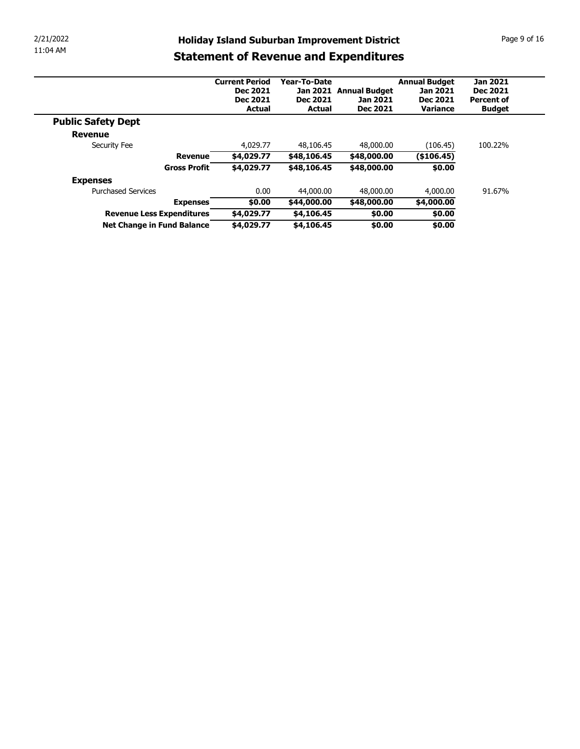| 2/21/2022<br><b>Holiday Island Suburban Improvement District</b><br>11:04 AM<br><b>Statement of Revenue and Expenditures</b><br>Year-To-Date<br><b>Annual Budget</b><br><b>Jan 2021</b><br><b>Current Period</b><br>Jan 2021 Annual Budget<br>Dec 2021<br>Dec 2021<br>Jan 2021<br>Dec 2021<br>Dec 2021<br>Jan 2021<br>Dec 2021<br><b>Percent of</b> | <b>Actual</b><br><b>Actual</b><br><b>Dec 2021</b><br>Variance<br><b>Budget</b><br><b>Public Safety Dept</b><br><b>Revenue</b><br>4,029.77<br>48,106.45<br>48,000.00<br>(106.45)<br>100.22%<br>Security Fee<br>\$4,029.77<br>(\$106.45)<br><b>Revenue</b><br>\$48,106.45<br>\$48,000.00<br><b>Gross Profit</b><br>\$4,029.77<br>\$0.00<br>\$48,106.45<br>\$48,000.00 | <b>Expenses</b> |  |  |  |  |
|-----------------------------------------------------------------------------------------------------------------------------------------------------------------------------------------------------------------------------------------------------------------------------------------------------------------------------------------------------|---------------------------------------------------------------------------------------------------------------------------------------------------------------------------------------------------------------------------------------------------------------------------------------------------------------------------------------------------------------------|-----------------|--|--|--|--|
|                                                                                                                                                                                                                                                                                                                                                     |                                                                                                                                                                                                                                                                                                                                                                     |                 |  |  |  |  |
|                                                                                                                                                                                                                                                                                                                                                     |                                                                                                                                                                                                                                                                                                                                                                     |                 |  |  |  |  |
|                                                                                                                                                                                                                                                                                                                                                     |                                                                                                                                                                                                                                                                                                                                                                     |                 |  |  |  |  |
|                                                                                                                                                                                                                                                                                                                                                     |                                                                                                                                                                                                                                                                                                                                                                     |                 |  |  |  |  |
|                                                                                                                                                                                                                                                                                                                                                     |                                                                                                                                                                                                                                                                                                                                                                     |                 |  |  |  |  |
|                                                                                                                                                                                                                                                                                                                                                     |                                                                                                                                                                                                                                                                                                                                                                     |                 |  |  |  |  |
|                                                                                                                                                                                                                                                                                                                                                     |                                                                                                                                                                                                                                                                                                                                                                     |                 |  |  |  |  |
|                                                                                                                                                                                                                                                                                                                                                     |                                                                                                                                                                                                                                                                                                                                                                     |                 |  |  |  |  |
|                                                                                                                                                                                                                                                                                                                                                     |                                                                                                                                                                                                                                                                                                                                                                     |                 |  |  |  |  |
|                                                                                                                                                                                                                                                                                                                                                     | Page 9 of 16                                                                                                                                                                                                                                                                                                                                                        |                 |  |  |  |  |
|                                                                                                                                                                                                                                                                                                                                                     |                                                                                                                                                                                                                                                                                                                                                                     |                 |  |  |  |  |
|                                                                                                                                                                                                                                                                                                                                                     |                                                                                                                                                                                                                                                                                                                                                                     |                 |  |  |  |  |
|                                                                                                                                                                                                                                                                                                                                                     |                                                                                                                                                                                                                                                                                                                                                                     |                 |  |  |  |  |
|                                                                                                                                                                                                                                                                                                                                                     |                                                                                                                                                                                                                                                                                                                                                                     |                 |  |  |  |  |
|                                                                                                                                                                                                                                                                                                                                                     |                                                                                                                                                                                                                                                                                                                                                                     |                 |  |  |  |  |
|                                                                                                                                                                                                                                                                                                                                                     |                                                                                                                                                                                                                                                                                                                                                                     |                 |  |  |  |  |
|                                                                                                                                                                                                                                                                                                                                                     |                                                                                                                                                                                                                                                                                                                                                                     |                 |  |  |  |  |
|                                                                                                                                                                                                                                                                                                                                                     |                                                                                                                                                                                                                                                                                                                                                                     |                 |  |  |  |  |
|                                                                                                                                                                                                                                                                                                                                                     |                                                                                                                                                                                                                                                                                                                                                                     |                 |  |  |  |  |
|                                                                                                                                                                                                                                                                                                                                                     |                                                                                                                                                                                                                                                                                                                                                                     |                 |  |  |  |  |
|                                                                                                                                                                                                                                                                                                                                                     |                                                                                                                                                                                                                                                                                                                                                                     |                 |  |  |  |  |
|                                                                                                                                                                                                                                                                                                                                                     |                                                                                                                                                                                                                                                                                                                                                                     |                 |  |  |  |  |
|                                                                                                                                                                                                                                                                                                                                                     |                                                                                                                                                                                                                                                                                                                                                                     |                 |  |  |  |  |
|                                                                                                                                                                                                                                                                                                                                                     |                                                                                                                                                                                                                                                                                                                                                                     |                 |  |  |  |  |
|                                                                                                                                                                                                                                                                                                                                                     |                                                                                                                                                                                                                                                                                                                                                                     |                 |  |  |  |  |
|                                                                                                                                                                                                                                                                                                                                                     |                                                                                                                                                                                                                                                                                                                                                                     |                 |  |  |  |  |
|                                                                                                                                                                                                                                                                                                                                                     |                                                                                                                                                                                                                                                                                                                                                                     |                 |  |  |  |  |
|                                                                                                                                                                                                                                                                                                                                                     |                                                                                                                                                                                                                                                                                                                                                                     |                 |  |  |  |  |
|                                                                                                                                                                                                                                                                                                                                                     |                                                                                                                                                                                                                                                                                                                                                                     |                 |  |  |  |  |
| 91.67%<br>0.00                                                                                                                                                                                                                                                                                                                                      |                                                                                                                                                                                                                                                                                                                                                                     |                 |  |  |  |  |
| <b>Purchased Services</b><br>44,000.00<br>48,000.00<br>4,000.00                                                                                                                                                                                                                                                                                     |                                                                                                                                                                                                                                                                                                                                                                     |                 |  |  |  |  |
| \$4,000.00<br>\$0.00<br>\$44,000.00<br>\$48,000.00<br><b>Expenses</b>                                                                                                                                                                                                                                                                               |                                                                                                                                                                                                                                                                                                                                                                     |                 |  |  |  |  |
|                                                                                                                                                                                                                                                                                                                                                     |                                                                                                                                                                                                                                                                                                                                                                     |                 |  |  |  |  |
|                                                                                                                                                                                                                                                                                                                                                     |                                                                                                                                                                                                                                                                                                                                                                     |                 |  |  |  |  |
| \$4,029.77<br>Revenue Less Expenditures<br>\$4,106.45<br>\$0.00<br>\$0.00<br>Net Change in Fund Balance<br>\$4,029.77<br>\$4,106.45<br>\$0.00<br>\$0.00                                                                                                                                                                                             |                                                                                                                                                                                                                                                                                                                                                                     |                 |  |  |  |  |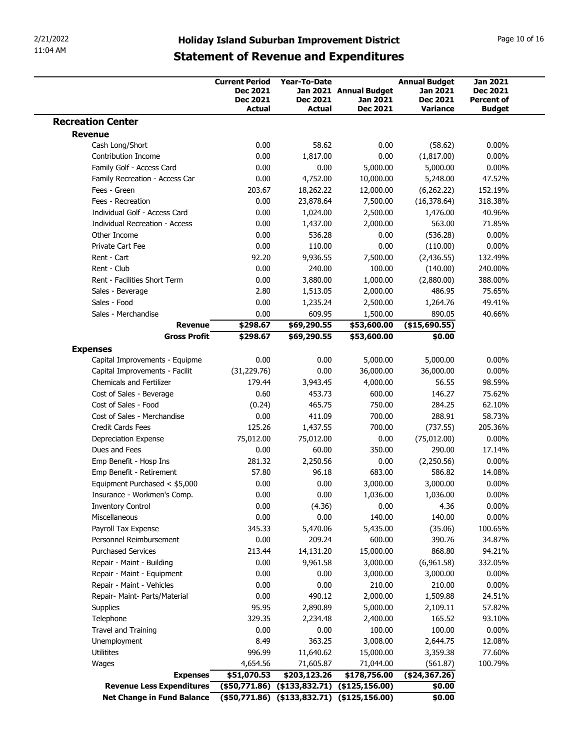| 2/21/2022<br>11:04 AM                                       |                             |                           |                                                     |                             |                                      |
|-------------------------------------------------------------|-----------------------------|---------------------------|-----------------------------------------------------|-----------------------------|--------------------------------------|
|                                                             |                             |                           |                                                     |                             |                                      |
|                                                             |                             |                           |                                                     |                             |                                      |
|                                                             |                             |                           |                                                     |                             |                                      |
|                                                             |                             |                           |                                                     |                             |                                      |
|                                                             |                             |                           |                                                     |                             |                                      |
|                                                             |                             |                           |                                                     |                             |                                      |
|                                                             |                             |                           |                                                     |                             |                                      |
|                                                             |                             |                           | <b>Holiday Island Suburban Improvement District</b> |                             | Page 10 of 16                        |
|                                                             |                             |                           | <b>Statement of Revenue and Expenditures</b>        |                             |                                      |
|                                                             |                             |                           |                                                     |                             |                                      |
|                                                             | <b>Current Period</b>       | Year-To-Date              |                                                     | <b>Annual Budget</b>        | <b>Jan 2021</b>                      |
|                                                             | <b>Dec 2021</b><br>Dec 2021 | <b>Dec 2021</b>           | Jan 2021 Annual Budget<br>Jan 2021                  | Jan 2021<br><b>Dec 2021</b> | <b>Dec 2021</b><br><b>Percent of</b> |
|                                                             | <b>Actual</b>               | <b>Actual</b>             | Dec 2021                                            | <b>Variance</b>             | <b>Budget</b>                        |
| <b>Recreation Center</b>                                    |                             |                           |                                                     |                             |                                      |
| <b>Revenue</b>                                              |                             |                           |                                                     |                             |                                      |
| Cash Long/Short                                             | 0.00                        | 58.62                     | 0.00                                                | (58.62)                     | $0.00\%$                             |
| Contribution Income<br>Family Golf - Access Card            | 0.00<br>0.00                | 1,817.00<br>0.00          | 0.00<br>5,000.00                                    | (1,817.00)<br>5,000.00      | $0.00\%$<br>$0.00\%$                 |
| Family Recreation - Access Car                              | 0.00                        | 4,752.00                  | 10,000.00                                           | 5,248.00                    | 47.52%                               |
| Fees - Green                                                | 203.67                      | 18,262.22                 | 12,000.00                                           | (6,262.22)                  | 152.19%                              |
| Fees - Recreation                                           | 0.00                        | 23,878.64                 | 7,500.00                                            | (16, 378.64)                | 318.38%                              |
| Individual Golf - Access Card                               | 0.00                        | 1,024.00                  | 2,500.00                                            | 1,476.00                    | 40.96%                               |
| <b>Individual Recreation - Access</b>                       | 0.00                        | 1,437.00                  | 2,000.00                                            | 563.00                      | 71.85%                               |
| Other Income<br>Private Cart Fee                            | 0.00<br>0.00                | 536.28<br>110.00          | 0.00<br>0.00                                        | (536.28)<br>(110.00)        | $0.00\%$<br>$0.00\%$                 |
| Rent - Cart                                                 | 92.20                       | 9,936.55                  | 7,500.00                                            | (2,436.55)                  | 132.49%                              |
| Rent - Club                                                 | 0.00                        | 240.00                    | 100.00                                              | (140.00)                    | 240.00%                              |
| Rent - Facilities Short Term                                | 0.00                        | 3,880.00                  | 1,000.00                                            | (2,880.00)                  | 388.00%                              |
| Sales - Beverage                                            | 2.80                        | 1,513.05                  | 2,000.00                                            | 486.95                      | 75.65%                               |
| Sales - Food<br>Sales - Merchandise                         | 0.00<br>0.00                | 1,235.24<br>609.95        | 2,500.00<br>1,500.00                                | 1,264.76<br>890.05          | 49.41%<br>40.66%                     |
| <b>Revenue</b>                                              | \$298.67                    | \$69,290.55               | \$53,600.00                                         | (\$15,690.55)               |                                      |
| <b>Gross Profit</b>                                         | \$298.67                    | \$69,290.55               | \$53,600.00                                         | \$0.00                      |                                      |
| <b>Expenses</b>                                             |                             |                           |                                                     |                             |                                      |
| Capital Improvements - Equipme                              | 0.00                        | 0.00                      | 5,000.00                                            | 5,000.00                    | $0.00\%$                             |
| Capital Improvements - Facilit                              | (31, 229.76)                | 0.00                      | 36,000.00                                           | 36,000.00                   | $0.00\%$                             |
| <b>Chemicals and Fertilizer</b><br>Cost of Sales - Beverage | 179.44<br>0.60              | 3,943.45<br>453.73        | 4,000.00<br>600.00                                  | 56.55<br>146.27             | 98.59%<br>75.62%                     |
| Cost of Sales - Food                                        | (0.24)                      | 465.75                    | 750.00                                              | 284.25                      | 62.10%                               |
| Cost of Sales - Merchandise                                 | 0.00                        | 411.09                    | 700.00                                              | 288.91                      | 58.73%                               |
| Credit Cards Fees                                           | 125.26                      | 1,437.55                  | 700.00                                              | (737.55)                    | 205.36%                              |
| Depreciation Expense                                        | 75,012.00                   | 75,012.00                 | 0.00                                                | (75, 012.00)                | $0.00\%$                             |
|                                                             | 0.00<br>281.32              | 60.00<br>2,250.56         | 350.00<br>0.00                                      | 290.00<br>(2,250.56)        | 17.14%<br>$0.00\%$                   |
| Dues and Fees                                               |                             |                           | 683.00                                              | 586.82                      | 14.08%                               |
| Emp Benefit - Hosp Ins                                      |                             |                           |                                                     |                             |                                      |
| Emp Benefit - Retirement<br>Equipment Purchased < \$5,000   | 57.80<br>0.00               | 96.18<br>0.00             | 3,000.00                                            | 3,000.00                    | $0.00\%$                             |
| Insurance - Workmen's Comp.                                 | 0.00                        | 0.00                      | 1,036.00                                            | 1,036.00                    | $0.00\%$                             |
| <b>Inventory Control</b>                                    | 0.00                        | (4.36)                    | 0.00                                                | 4.36                        | $0.00\%$                             |
| Miscellaneous                                               | 0.00                        | 0.00                      | 140.00                                              | 140.00                      | $0.00\%$                             |
| Payroll Tax Expense                                         | 345.33                      | 5,470.06                  | 5,435.00                                            | (35.06)                     | 100.65%                              |
| Personnel Reimbursement<br><b>Purchased Services</b>        | 0.00<br>213.44              | 209.24                    | 600.00                                              | 390.76<br>868.80            | 34.87%<br>94.21%                     |
| Repair - Maint - Building                                   | 0.00                        | 14,131.20<br>9,961.58     | 15,000.00<br>3,000.00                               | (6,961.58)                  | 332.05%                              |
| Repair - Maint - Equipment                                  | 0.00                        | 0.00                      | 3,000.00                                            | 3,000.00                    | $0.00\%$                             |
| Repair - Maint - Vehicles                                   | 0.00                        | 0.00                      | 210.00                                              | 210.00                      | $0.00\%$                             |
| Repair- Maint- Parts/Material                               | 0.00                        | 490.12                    | 2,000.00                                            | 1,509.88                    | 24.51%                               |
| Supplies                                                    | 95.95                       | 2,890.89                  | 5,000.00                                            | 2,109.11                    | 57.82%                               |
| Telephone<br>Travel and Training                            | 329.35<br>0.00              | 2,234.48<br>0.00          | 2,400.00<br>100.00                                  | 165.52<br>100.00            | 93.10%<br>$0.00\%$                   |
| Unemployment                                                | 8.49                        | 363.25                    | 3,008.00                                            | 2,644.75                    | 12.08%                               |
| Utilitites                                                  | 996.99                      | 11,640.62                 | 15,000.00                                           | 3,359.38                    | 77.60%                               |
| Wages<br><b>Expenses</b>                                    | 4,654.56<br>\$51,070.53     | 71,605.87<br>\$203,123.26 | 71,044.00<br>\$178,756.00                           | (561.87)<br>(\$24,367.26)   | 100.79%                              |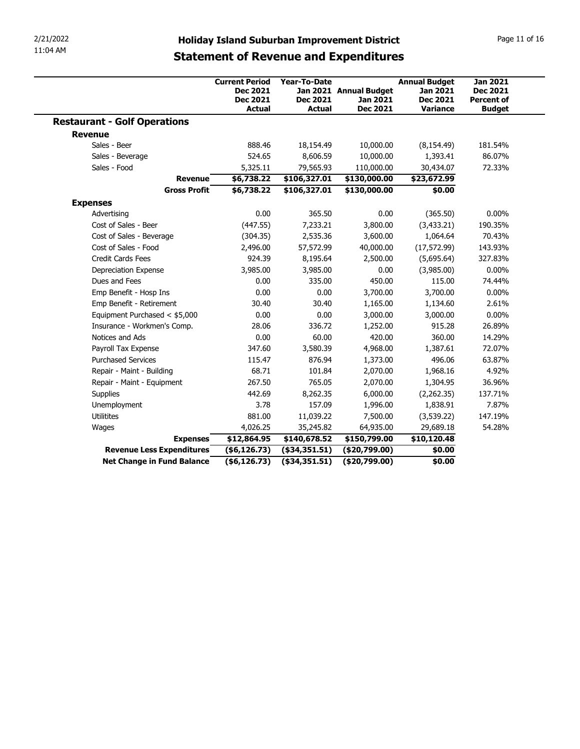| 2/21/2022                                           |                                                                              |                                                                                                     |                                                |                                                                        | Page 11 of 16                                                            |
|-----------------------------------------------------|------------------------------------------------------------------------------|-----------------------------------------------------------------------------------------------------|------------------------------------------------|------------------------------------------------------------------------|--------------------------------------------------------------------------|
| 11:04 AM                                            |                                                                              | <b>Holiday Island Suburban Improvement District</b><br><b>Statement of Revenue and Expenditures</b> |                                                |                                                                        |                                                                          |
|                                                     | <b>Current Period</b><br><b>Dec 2021</b><br><b>Dec 2021</b><br><b>Actual</b> | Year-To-Date<br><b>Dec 2021</b><br><b>Actual</b>                                                    | Jan 2021 Annual Budget<br>Jan 2021<br>Dec 2021 | <b>Annual Budget</b><br><b>Jan 2021</b><br><b>Dec 2021</b><br>Variance | <b>Jan 2021</b><br><b>Dec 2021</b><br><b>Percent of</b><br><b>Budget</b> |
| <b>Restaurant - Golf Operations</b>                 |                                                                              |                                                                                                     |                                                |                                                                        |                                                                          |
| <b>Revenue</b>                                      |                                                                              |                                                                                                     |                                                |                                                                        |                                                                          |
| Sales - Beer                                        | 888.46                                                                       | 18,154.49                                                                                           | 10,000.00                                      | (8, 154.49)                                                            | 181.54%                                                                  |
| Sales - Beverage                                    | 524.65                                                                       | 8,606.59                                                                                            | 10,000.00                                      | 1,393.41                                                               | 86.07%                                                                   |
| Sales - Food                                        | 5,325.11                                                                     | 79,565.93                                                                                           | 110,000.00                                     | 30,434.07                                                              | 72.33%                                                                   |
| Revenue                                             | \$6,738.22                                                                   | \$106,327.01                                                                                        | \$130,000.00                                   | \$23,672.99                                                            |                                                                          |
| <b>Gross Profit</b>                                 | \$6,738.22                                                                   | \$106,327.01                                                                                        | \$130,000.00                                   | \$0.00                                                                 |                                                                          |
| <b>Expenses</b>                                     |                                                                              |                                                                                                     |                                                |                                                                        |                                                                          |
| Advertising                                         | 0.00                                                                         | 365.50                                                                                              | $0.00\,$                                       | (365.50)                                                               | $0.00\%$                                                                 |
| Cost of Sales - Beer                                | (447.55)                                                                     | 7,233.21                                                                                            | 3,800.00                                       | (3, 433.21)                                                            | 190.35%                                                                  |
| Cost of Sales - Beverage                            | (304.35)                                                                     | 2,535.36                                                                                            | 3,600.00                                       | 1,064.64                                                               | 70.43%                                                                   |
| Cost of Sales - Food                                | 2,496.00                                                                     | 57,572.99                                                                                           | 40,000.00                                      | (17, 572.99)                                                           | 143.93%                                                                  |
| Credit Cards Fees                                   | 924.39                                                                       | 8,195.64                                                                                            | 2,500.00                                       | (5,695.64)                                                             | 327.83%                                                                  |
| Depreciation Expense                                | 3,985.00                                                                     | 3,985.00                                                                                            | 0.00                                           | (3,985.00)                                                             | $0.00\%$                                                                 |
| Dues and Fees                                       | 0.00                                                                         | 335.00                                                                                              | 450.00                                         | 115.00                                                                 | 74.44%                                                                   |
| Emp Benefit - Hosp Ins                              | 0.00                                                                         | 0.00                                                                                                | 3,700.00                                       | 3,700.00                                                               | $0.00\%$                                                                 |
| Emp Benefit - Retirement                            | 30.40                                                                        | 30.40                                                                                               | 1,165.00                                       | 1,134.60                                                               | 2.61%                                                                    |
| Equipment Purchased < \$5,000                       | 0.00                                                                         | 0.00                                                                                                | 3,000.00                                       | 3,000.00                                                               | $0.00\%$                                                                 |
| Insurance - Workmen's Comp.                         | 28.06                                                                        | 336.72                                                                                              | 1,252.00                                       | 915.28                                                                 | 26.89%                                                                   |
| Notices and Ads                                     | 0.00                                                                         | 60.00                                                                                               | 420.00                                         | 360.00                                                                 | 14.29%                                                                   |
| Payroll Tax Expense<br><b>Purchased Services</b>    | 347.60<br>115.47                                                             | 3,580.39                                                                                            | 4,968.00                                       | 1,387.61                                                               | 72.07%                                                                   |
| Repair - Maint - Building                           | 68.71                                                                        | 876.94<br>101.84                                                                                    | 1,373.00<br>2,070.00                           | 496.06<br>1,968.16                                                     | 63.87%<br>4.92%                                                          |
|                                                     | 267.50                                                                       | 765.05                                                                                              |                                                |                                                                        |                                                                          |
| Repair - Maint - Equipment                          |                                                                              |                                                                                                     | 2,070.00                                       | 1,304.95                                                               | 36.96%                                                                   |
| Supplies                                            | 442.69                                                                       | 8,262.35                                                                                            | 6,000.00                                       | (2,262.35)                                                             | 137.71%                                                                  |
| Unemployment                                        | 3.78                                                                         | 157.09                                                                                              | 1,996.00                                       | 1,838.91                                                               | 7.87%                                                                    |
| Utilitites                                          | 881.00                                                                       | 11,039.22                                                                                           | 7,500.00                                       | (3,539.22)                                                             | 147.19%                                                                  |
| Wages                                               | 4,026.25                                                                     | 35,245.82                                                                                           | 64,935.00                                      | 29,689.18                                                              | 54.28%                                                                   |
|                                                     | \$12,864.95                                                                  | \$140,678.52                                                                                        | \$150,799.00                                   | \$10,120.48                                                            |                                                                          |
| <b>Expenses</b><br><b>Revenue Less Expenditures</b> | $($ \$6,126.73 $)$                                                           | $($ \$34,351.51 $)$                                                                                 | ( \$20,799.00)                                 | \$0.00                                                                 |                                                                          |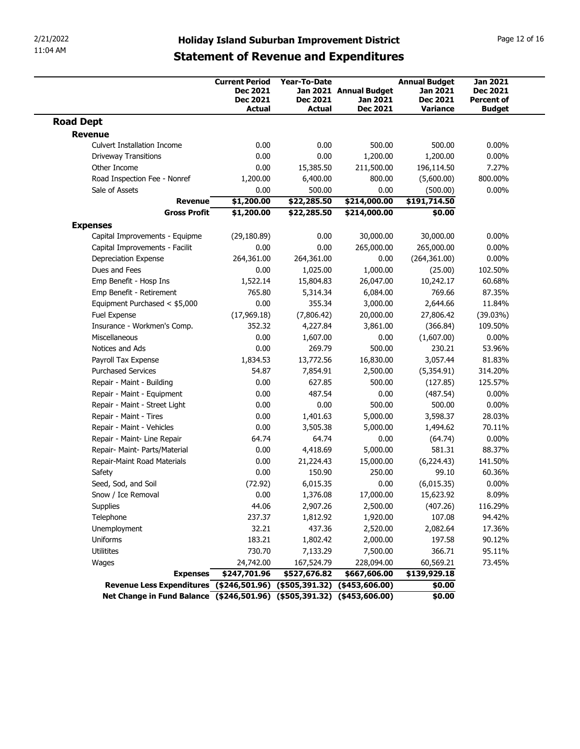| 11:04 AM                                                                                  |                                                                                                                  |                                  |                                                |                                                | Page 12 of 16                                         |  |  |
|-------------------------------------------------------------------------------------------|------------------------------------------------------------------------------------------------------------------|----------------------------------|------------------------------------------------|------------------------------------------------|-------------------------------------------------------|--|--|
|                                                                                           | 2/21/2022<br><b>Holiday Island Suburban Improvement District</b><br><b>Statement of Revenue and Expenditures</b> |                                  |                                                |                                                |                                                       |  |  |
|                                                                                           | <b>Current Period</b>                                                                                            | Year-To-Date                     |                                                | <b>Annual Budget</b>                           | <b>Jan 2021</b>                                       |  |  |
|                                                                                           | <b>Dec 2021</b><br><b>Dec 2021</b><br><b>Actual</b>                                                              | <b>Dec 2021</b><br><b>Actual</b> | Jan 2021 Annual Budget<br>Jan 2021<br>Dec 2021 | Jan 2021<br><b>Dec 2021</b><br><b>Variance</b> | <b>Dec 2021</b><br><b>Percent of</b><br><b>Budget</b> |  |  |
| <b>Road Dept</b>                                                                          |                                                                                                                  |                                  |                                                |                                                |                                                       |  |  |
| <b>Revenue</b><br><b>Culvert Installation Income</b>                                      | 0.00                                                                                                             | 0.00                             | 500.00                                         | 500.00                                         | $0.00\%$                                              |  |  |
| <b>Driveway Transitions</b>                                                               | 0.00                                                                                                             | 0.00                             | 1,200.00                                       | 1,200.00                                       | $0.00\%$                                              |  |  |
| Other Income                                                                              | 0.00                                                                                                             | 15,385.50                        | 211,500.00                                     | 196,114.50                                     | 7.27%                                                 |  |  |
| Road Inspection Fee - Nonref                                                              | 1,200.00                                                                                                         | 6,400.00                         | 800.00                                         | (5,600.00)                                     | 800.00%                                               |  |  |
| Sale of Assets                                                                            | 0.00                                                                                                             | 500.00                           | 0.00                                           | (500.00)                                       | $0.00\%$                                              |  |  |
| <b>Revenue</b><br><b>Gross Profit</b>                                                     | \$1,200.00<br>\$1,200.00                                                                                         | \$22,285.50<br>\$22,285.50       | \$214,000.00<br>\$214,000.00                   | \$191,714.50<br>\$0.00                         |                                                       |  |  |
| <b>Expenses</b>                                                                           |                                                                                                                  |                                  |                                                |                                                |                                                       |  |  |
| Capital Improvements - Equipme                                                            | (29, 180.89)                                                                                                     | 0.00                             | 30,000.00                                      | 30,000.00                                      | $0.00\%$                                              |  |  |
| Capital Improvements - Facilit                                                            | 0.00                                                                                                             | 0.00                             | 265,000.00                                     | 265,000.00                                     | $0.00\%$                                              |  |  |
| Depreciation Expense                                                                      | 264,361.00                                                                                                       | 264,361.00                       | 0.00                                           | (264, 361.00)                                  | $0.00\%$                                              |  |  |
| Dues and Fees                                                                             | 0.00                                                                                                             | 1,025.00                         | 1,000.00                                       | (25.00)                                        | 102.50%                                               |  |  |
| Emp Benefit - Hosp Ins<br>Emp Benefit - Retirement                                        | 1,522.14<br>765.80                                                                                               | 15,804.83<br>5,314.34            | 26,047.00<br>6,084.00                          | 10,242.17<br>769.66                            | 60.68%<br>87.35%                                      |  |  |
| Equipment Purchased < \$5,000                                                             | 0.00                                                                                                             | 355.34                           | 3,000.00                                       | 2,644.66                                       | 11.84%                                                |  |  |
| Fuel Expense                                                                              | (17,969.18)                                                                                                      | (7,806.42)                       | 20,000.00                                      | 27,806.42                                      | (39.03%)                                              |  |  |
| Insurance - Workmen's Comp.                                                               | 352.32                                                                                                           | 4,227.84                         | 3,861.00                                       | (366.84)                                       | 109.50%                                               |  |  |
| Miscellaneous                                                                             | 0.00                                                                                                             | 1,607.00                         | 0.00                                           | (1,607.00)                                     | $0.00\%$                                              |  |  |
| Notices and Ads                                                                           | 0.00                                                                                                             | 269.79                           | 500.00                                         | 230.21                                         | 53.96%                                                |  |  |
| Payroll Tax Expense<br><b>Purchased Services</b>                                          | 1,834.53<br>54.87                                                                                                | 13,772.56<br>7,854.91            | 16,830.00<br>2,500.00                          | 3,057.44<br>(5,354.91)                         | 81.83%<br>314.20%                                     |  |  |
| Repair - Maint - Building                                                                 | 0.00                                                                                                             | 627.85                           | 500.00                                         | (127.85)                                       | 125.57%                                               |  |  |
| Repair - Maint - Equipment                                                                | 0.00                                                                                                             | 487.54                           | 0.00                                           | (487.54)                                       | $0.00\%$                                              |  |  |
| Repair - Maint - Street Light                                                             | 0.00                                                                                                             | 0.00                             | 500.00                                         | 500.00                                         | $0.00\%$                                              |  |  |
| Repair - Maint - Tires                                                                    | 0.00                                                                                                             | 1,401.63                         | 5,000.00                                       | 3,598.37                                       | 28.03%                                                |  |  |
| Repair - Maint - Vehicles                                                                 | 0.00                                                                                                             | 3,505.38                         | 5,000.00                                       | 1,494.62                                       | 70.11%                                                |  |  |
| Repair - Maint- Line Repair                                                               | 64.74                                                                                                            | 64.74                            | 0.00                                           | (64.74)                                        | $0.00\%$                                              |  |  |
| Repair- Maint- Parts/Material                                                             | 0.00                                                                                                             | 4,418.69                         | 5,000.00                                       | 581.31                                         | 88.37%<br>141.50%                                     |  |  |
| Repair-Maint Road Materials<br>Safety                                                     | 0.00<br>0.00                                                                                                     | 21,224.43<br>150.90              | 15,000.00<br>250.00                            | (6,224.43)<br>99.10                            | 60.36%                                                |  |  |
| Seed, Sod, and Soil                                                                       | (72.92)                                                                                                          | 6,015.35                         | 0.00                                           | (6,015.35)                                     | $0.00\%$                                              |  |  |
| Snow / Ice Removal                                                                        | 0.00                                                                                                             | 1,376.08                         | 17,000.00                                      | 15,623.92                                      | 8.09%                                                 |  |  |
| Supplies                                                                                  | 44.06                                                                                                            | 2,907.26                         | 2,500.00                                       | (407.26)                                       | 116.29%                                               |  |  |
| Telephone                                                                                 | 237.37                                                                                                           | 1,812.92                         | 1,920.00                                       | 107.08                                         | 94.42%                                                |  |  |
| Unemployment                                                                              | 32.21                                                                                                            | 437.36                           | 2,520.00                                       | 2,082.64                                       | 17.36%                                                |  |  |
| Uniforms                                                                                  | 183.21                                                                                                           | 1,802.42                         | 2,000.00                                       | 197.58                                         | 90.12%                                                |  |  |
| Utilitites                                                                                | 730.70                                                                                                           | 7,133.29                         | 7,500.00                                       | 366.71                                         | 95.11%                                                |  |  |
| Wages                                                                                     | 24,742.00<br>\$247,701.96                                                                                        | 167,524.79<br>\$527,676.82       | 228,094.00<br>\$667,606.00                     | 60,569.21<br>\$139,929.18                      | 73.45%                                                |  |  |
|                                                                                           |                                                                                                                  |                                  |                                                |                                                |                                                       |  |  |
| <b>Expenses</b><br>Revenue Less Expenditures (\$246,501.96) (\$505,391.32) (\$453,606.00) |                                                                                                                  |                                  |                                                | \$0.00                                         |                                                       |  |  |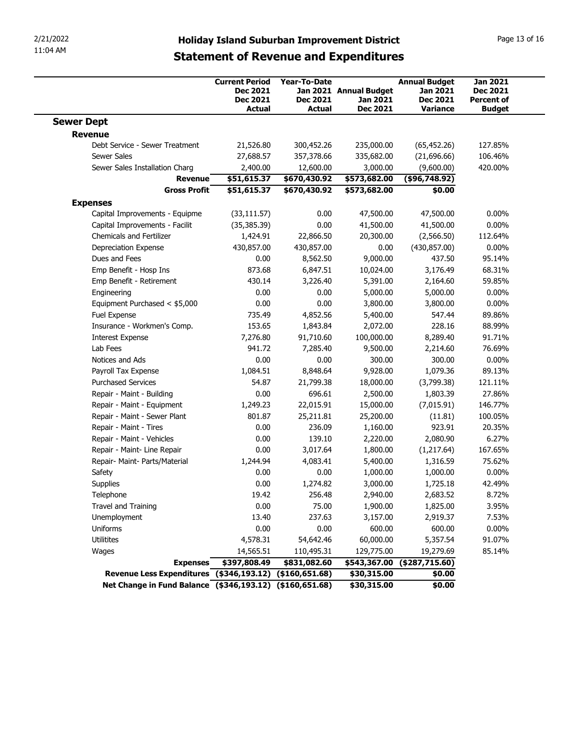| 11:04 AM                                                   |                                              |                                                         | <b>Holiday Island Suburban Improvement District</b>          |                                                       | Page 13 of 16                                  |
|------------------------------------------------------------|----------------------------------------------|---------------------------------------------------------|--------------------------------------------------------------|-------------------------------------------------------|------------------------------------------------|
|                                                            |                                              | <b>Statement of Revenue and Expenditures</b>            |                                                              |                                                       |                                                |
|                                                            | <b>Current Period</b>                        | Year-To-Date                                            |                                                              | <b>Annual Budget</b>                                  | <b>Jan 2021</b>                                |
|                                                            | Dec 2021<br><b>Dec 2021</b><br><b>Actual</b> | <b>Dec 2021</b><br>Actual                               | Jan 2021 Annual Budget<br><b>Jan 2021</b><br><b>Dec 2021</b> | <b>Jan 2021</b><br><b>Dec 2021</b><br><b>Variance</b> | Dec 2021<br><b>Percent of</b><br><b>Budget</b> |
| <b>Sewer Dept</b>                                          |                                              |                                                         |                                                              |                                                       |                                                |
| <b>Revenue</b>                                             |                                              |                                                         |                                                              |                                                       |                                                |
| Debt Service - Sewer Treatment<br><b>Sewer Sales</b>       | 21,526.80<br>27,688.57                       | 300,452.26<br>357,378.66                                | 235,000.00<br>335,682.00                                     | (65, 452.26)<br>(21,696.66)                           | 127.85%<br>106.46%                             |
| Sewer Sales Installation Charg                             | 2,400.00                                     | 12,600.00                                               | 3,000.00                                                     | (9,600.00)                                            | 420.00%                                        |
| Revenue                                                    | \$51,615.37                                  | \$670,430.92                                            | \$573,682.00                                                 | (\$96,748.92)                                         |                                                |
| <b>Gross Profit</b>                                        | \$51,615.37                                  | \$670,430.92                                            | \$573,682.00                                                 | \$0.00                                                |                                                |
| <b>Expenses</b><br>Capital Improvements - Equipme          | (33, 111.57)                                 | 0.00                                                    | 47,500.00                                                    | 47,500.00                                             | $0.00\%$                                       |
| Capital Improvements - Facilit                             | (35, 385.39)                                 | 0.00                                                    | 41,500.00                                                    | 41,500.00                                             | $0.00\%$                                       |
| Chemicals and Fertilizer                                   | 1,424.91                                     | 22,866.50                                               | 20,300.00                                                    | (2,566.50)                                            | 112.64%                                        |
| Depreciation Expense                                       | 430,857.00                                   | 430,857.00                                              | 0.00                                                         | (430, 857.00)                                         | $0.00\%$                                       |
| Dues and Fees<br>Emp Benefit - Hosp Ins                    | 0.00<br>873.68                               | 8,562.50<br>6,847.51                                    | 9,000.00<br>10,024.00                                        | 437.50<br>3,176.49                                    | 95.14%<br>68.31%                               |
| Emp Benefit - Retirement                                   | 430.14                                       | 3,226.40                                                | 5,391.00                                                     | 2,164.60                                              | 59.85%                                         |
| Engineering                                                | 0.00                                         | 0.00                                                    | 5,000.00                                                     | 5,000.00                                              | $0.00\%$                                       |
| Equipment Purchased < \$5,000                              | 0.00                                         | 0.00                                                    | 3,800.00                                                     | 3,800.00                                              | $0.00\%$                                       |
| Fuel Expense                                               | 735.49                                       | 4,852.56                                                | 5,400.00                                                     | 547.44                                                | 89.86%                                         |
| Insurance - Workmen's Comp.                                | 153.65                                       | 1,843.84                                                | 2,072.00                                                     | 228.16                                                | 88.99%                                         |
| <b>Interest Expense</b><br>Lab Fees                        | 7,276.80<br>941.72                           | 91,710.60<br>7,285.40                                   | 100,000.00<br>9,500.00                                       | 8,289.40<br>2,214.60                                  | 91.71%<br>76.69%                               |
| Notices and Ads                                            | 0.00                                         | 0.00                                                    | 300.00                                                       | 300.00                                                | $0.00\%$                                       |
| Payroll Tax Expense                                        | 1,084.51                                     | 8,848.64                                                | 9,928.00                                                     | 1,079.36                                              | 89.13%                                         |
| <b>Purchased Services</b>                                  | 54.87                                        | 21,799.38                                               | 18,000.00                                                    | (3,799.38)                                            | 121.11%                                        |
| Repair - Maint - Building                                  | 0.00                                         | 696.61                                                  | 2,500.00                                                     | 1,803.39                                              | 27.86%                                         |
| Repair - Maint - Equipment<br>Repair - Maint - Sewer Plant | 1,249.23<br>801.87                           | 22,015.91<br>25,211.81                                  | 15,000.00<br>25,200.00                                       | (7,015.91)<br>(11.81)                                 | 146.77%<br>100.05%                             |
| Repair - Maint - Tires                                     | 0.00                                         | 236.09                                                  | 1,160.00                                                     | 923.91                                                | 20.35%                                         |
| Repair - Maint - Vehicles                                  | 0.00                                         | 139.10                                                  | 2,220.00                                                     | 2,080.90                                              | 6.27%                                          |
| Repair - Maint- Line Repair                                | 0.00                                         | 3,017.64                                                | 1,800.00                                                     | (1,217.64)                                            | 167.65%                                        |
| Repair- Maint- Parts/Material                              | 1,244.94                                     | 4,083.41                                                | 5,400.00                                                     | 1,316.59                                              | 75.62%                                         |
| Safety                                                     | 0.00                                         | 0.00                                                    | 1,000.00                                                     | 1,000.00                                              | $0.00\%$                                       |
| Supplies                                                   | 0.00                                         | 1,274.82                                                | 3,000.00                                                     | 1,725.18                                              | 42.49%                                         |
| Telephone<br>Travel and Training                           | 19.42<br>0.00                                | 256.48<br>75.00                                         | 2,940.00                                                     | 2,683.52                                              | 8.72%<br>3.95%                                 |
| Unemployment                                               | 13.40                                        | 237.63                                                  | 1,900.00<br>3,157.00                                         | 1,825.00<br>2,919.37                                  | 7.53%                                          |
| Uniforms                                                   | 0.00                                         | 0.00                                                    | 600.00                                                       | 600.00                                                | $0.00\%$                                       |
| Utilitites                                                 | 4,578.31                                     | 54,642.46                                               | 60,000.00                                                    | 5,357.54                                              | 91.07%                                         |
| Wages                                                      | 14,565.51                                    | 110,495.31                                              | 129,775.00                                                   | 19,279.69                                             | 85.14%                                         |
|                                                            | \$397,808.49                                 | \$831,082.60                                            |                                                              | $$543,367.00$ $$287,715.60$                           |                                                |
| <b>Expenses</b>                                            |                                              | Revenue Less Expenditures (\$346,193.12) (\$160,651.68) | \$30,315.00                                                  | \$0.00                                                |                                                |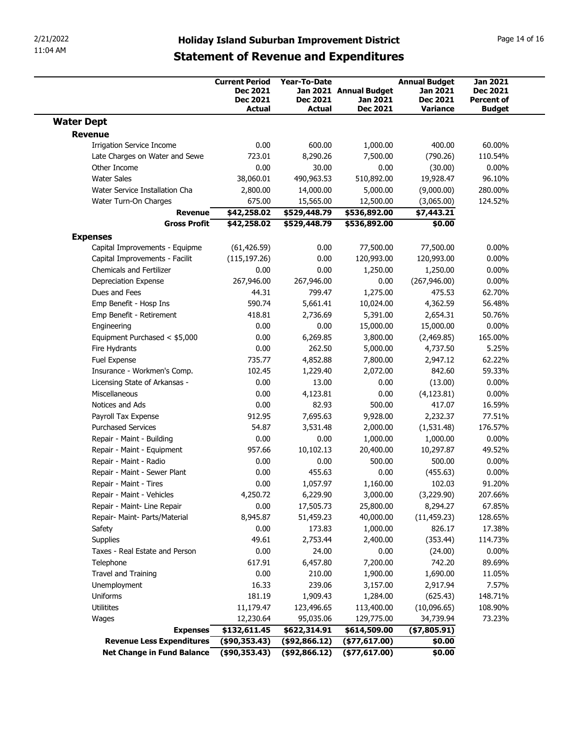| 11:04 AM<br><b>Statement of Revenue and Expenditures</b><br><b>Jan 2021</b><br><b>Current Period</b><br><b>Year-To-Date</b><br><b>Annual Budget</b><br>Dec 2021<br>Jan 2021 Annual Budget<br>Jan 2021<br>Dec 2021<br><b>Dec 2021</b><br><b>Dec 2021</b><br><b>Dec 2021</b><br>Jan 2021<br><b>Percent of</b><br><b>Dec 2021</b><br><b>Actual</b><br>Actual<br><b>Variance</b><br><b>Budget</b><br><b>Revenue</b><br><b>Irrigation Service Income</b><br>0.00<br>600.00<br>1,000.00<br>400.00<br>60.00%<br>Late Charges on Water and Sewe<br>723.01<br>8,290.26<br>7,500.00<br>(790.26)<br>110.54%<br>Other Income<br>0.00<br>30.00<br>0.00<br>(30.00)<br>0.00%<br><b>Water Sales</b><br>38,060.01<br>490,963.53<br>510,892.00<br>19,928.47<br>96.10%<br>2,800.00<br>14,000.00<br>5,000.00<br>(9,000.00)<br>280.00%<br>Water Service Installation Cha<br>675.00<br>12,500.00<br>(3,065.00)<br>124.52%<br>Water Turn-On Charges<br>15,565.00<br>Revenue<br>\$42,258.02<br>\$529,448.79<br>\$536,892.00<br>\$7,443.21<br>\$42,258.02<br>\$0.00<br><b>Gross Profit</b><br>\$529,448.79<br>\$536,892.00<br><b>Expenses</b><br>(61, 426.59)<br>0.00<br>77,500.00<br>77,500.00<br>$0.00\%$<br>Capital Improvements - Equipme<br>0.00<br>120,993.00<br>120,993.00<br>$0.00\%$<br>Capital Improvements - Facilit<br>(115, 197.26)<br>Chemicals and Fertilizer<br>0.00<br>$0.00\%$<br>0.00<br>1,250.00<br>1,250.00<br>0.00<br>$0.00\%$<br>Depreciation Expense<br>267,946.00<br>267,946.00<br>(267, 946.00)<br>Dues and Fees<br>44.31<br>799.47<br>1,275.00<br>475.53<br>62.70%<br>4,362.59<br>56.48%<br>Emp Benefit - Hosp Ins<br>590.74<br>5,661.41<br>10,024.00<br>Emp Benefit - Retirement<br>418.81<br>2,736.69<br>5,391.00<br>2,654.31<br>50.76%<br>0.00<br>0.00<br>15,000.00<br>$0.00\%$<br>Engineering<br>15,000.00<br>Equipment Purchased < \$5,000<br>0.00<br>6,269.85<br>3,800.00<br>(2,469.85)<br>165.00%<br>0.00<br>262.50<br>5.25%<br>Fire Hydrants<br>5,000.00<br>4,737.50<br>4,852.88<br>62.22%<br>Fuel Expense<br>735.77<br>7,800.00<br>2,947.12<br>Insurance - Workmen's Comp.<br>842.60<br>59.33%<br>102.45<br>1,229.40<br>2,072.00<br>0.00<br>13.00<br>0.00<br>(13.00)<br>$0.00\%$<br>Licensing State of Arkansas -<br>0.00<br>4,123.81<br>0.00<br>$0.00\%$<br>Miscellaneous<br>(4, 123.81)<br>Notices and Ads<br>0.00<br>82.93<br>500.00<br>417.07<br>16.59%<br>2,232.37<br>77.51%<br>Payroll Tax Expense<br>912.95<br>7,695.63<br>9,928.00<br><b>Purchased Services</b><br>54.87<br>176.57%<br>3,531.48<br>2,000.00<br>(1,531.48)<br>0.00<br>1,000.00<br>$0.00\%$<br>Repair - Maint - Building<br>0.00<br>1,000.00<br>Repair - Maint - Equipment<br>957.66<br>10,102.13<br>20,400.00<br>10,297.87<br>49.52%<br>Repair - Maint - Radio<br>0.00<br>0.00<br>500.00<br>500.00<br>$0.00\%$ |
|--------------------------------------------------------------------------------------------------------------------------------------------------------------------------------------------------------------------------------------------------------------------------------------------------------------------------------------------------------------------------------------------------------------------------------------------------------------------------------------------------------------------------------------------------------------------------------------------------------------------------------------------------------------------------------------------------------------------------------------------------------------------------------------------------------------------------------------------------------------------------------------------------------------------------------------------------------------------------------------------------------------------------------------------------------------------------------------------------------------------------------------------------------------------------------------------------------------------------------------------------------------------------------------------------------------------------------------------------------------------------------------------------------------------------------------------------------------------------------------------------------------------------------------------------------------------------------------------------------------------------------------------------------------------------------------------------------------------------------------------------------------------------------------------------------------------------------------------------------------------------------------------------------------------------------------------------------------------------------------------------------------------------------------------------------------------------------------------------------------------------------------------------------------------------------------------------------------------------------------------------------------------------------------------------------------------------------------------------------------------------------------------------------------------------------------------------------------------------------------------------------------------------------------------------------------------------------------------------------------------------------------------------------------------------------------------------------------------------------------------------------------------------------------------------|
|                                                                                                                                                                                                                                                                                                                                                                                                                                                                                                                                                                                                                                                                                                                                                                                                                                                                                                                                                                                                                                                                                                                                                                                                                                                                                                                                                                                                                                                                                                                                                                                                                                                                                                                                                                                                                                                                                                                                                                                                                                                                                                                                                                                                                                                                                                                                                                                                                                                                                                                                                                                                                                                                                                                                                                                                  |
| <b>Water Dept</b>                                                                                                                                                                                                                                                                                                                                                                                                                                                                                                                                                                                                                                                                                                                                                                                                                                                                                                                                                                                                                                                                                                                                                                                                                                                                                                                                                                                                                                                                                                                                                                                                                                                                                                                                                                                                                                                                                                                                                                                                                                                                                                                                                                                                                                                                                                                                                                                                                                                                                                                                                                                                                                                                                                                                                                                |
|                                                                                                                                                                                                                                                                                                                                                                                                                                                                                                                                                                                                                                                                                                                                                                                                                                                                                                                                                                                                                                                                                                                                                                                                                                                                                                                                                                                                                                                                                                                                                                                                                                                                                                                                                                                                                                                                                                                                                                                                                                                                                                                                                                                                                                                                                                                                                                                                                                                                                                                                                                                                                                                                                                                                                                                                  |
|                                                                                                                                                                                                                                                                                                                                                                                                                                                                                                                                                                                                                                                                                                                                                                                                                                                                                                                                                                                                                                                                                                                                                                                                                                                                                                                                                                                                                                                                                                                                                                                                                                                                                                                                                                                                                                                                                                                                                                                                                                                                                                                                                                                                                                                                                                                                                                                                                                                                                                                                                                                                                                                                                                                                                                                                  |
|                                                                                                                                                                                                                                                                                                                                                                                                                                                                                                                                                                                                                                                                                                                                                                                                                                                                                                                                                                                                                                                                                                                                                                                                                                                                                                                                                                                                                                                                                                                                                                                                                                                                                                                                                                                                                                                                                                                                                                                                                                                                                                                                                                                                                                                                                                                                                                                                                                                                                                                                                                                                                                                                                                                                                                                                  |
|                                                                                                                                                                                                                                                                                                                                                                                                                                                                                                                                                                                                                                                                                                                                                                                                                                                                                                                                                                                                                                                                                                                                                                                                                                                                                                                                                                                                                                                                                                                                                                                                                                                                                                                                                                                                                                                                                                                                                                                                                                                                                                                                                                                                                                                                                                                                                                                                                                                                                                                                                                                                                                                                                                                                                                                                  |
|                                                                                                                                                                                                                                                                                                                                                                                                                                                                                                                                                                                                                                                                                                                                                                                                                                                                                                                                                                                                                                                                                                                                                                                                                                                                                                                                                                                                                                                                                                                                                                                                                                                                                                                                                                                                                                                                                                                                                                                                                                                                                                                                                                                                                                                                                                                                                                                                                                                                                                                                                                                                                                                                                                                                                                                                  |
|                                                                                                                                                                                                                                                                                                                                                                                                                                                                                                                                                                                                                                                                                                                                                                                                                                                                                                                                                                                                                                                                                                                                                                                                                                                                                                                                                                                                                                                                                                                                                                                                                                                                                                                                                                                                                                                                                                                                                                                                                                                                                                                                                                                                                                                                                                                                                                                                                                                                                                                                                                                                                                                                                                                                                                                                  |
|                                                                                                                                                                                                                                                                                                                                                                                                                                                                                                                                                                                                                                                                                                                                                                                                                                                                                                                                                                                                                                                                                                                                                                                                                                                                                                                                                                                                                                                                                                                                                                                                                                                                                                                                                                                                                                                                                                                                                                                                                                                                                                                                                                                                                                                                                                                                                                                                                                                                                                                                                                                                                                                                                                                                                                                                  |
|                                                                                                                                                                                                                                                                                                                                                                                                                                                                                                                                                                                                                                                                                                                                                                                                                                                                                                                                                                                                                                                                                                                                                                                                                                                                                                                                                                                                                                                                                                                                                                                                                                                                                                                                                                                                                                                                                                                                                                                                                                                                                                                                                                                                                                                                                                                                                                                                                                                                                                                                                                                                                                                                                                                                                                                                  |
|                                                                                                                                                                                                                                                                                                                                                                                                                                                                                                                                                                                                                                                                                                                                                                                                                                                                                                                                                                                                                                                                                                                                                                                                                                                                                                                                                                                                                                                                                                                                                                                                                                                                                                                                                                                                                                                                                                                                                                                                                                                                                                                                                                                                                                                                                                                                                                                                                                                                                                                                                                                                                                                                                                                                                                                                  |
|                                                                                                                                                                                                                                                                                                                                                                                                                                                                                                                                                                                                                                                                                                                                                                                                                                                                                                                                                                                                                                                                                                                                                                                                                                                                                                                                                                                                                                                                                                                                                                                                                                                                                                                                                                                                                                                                                                                                                                                                                                                                                                                                                                                                                                                                                                                                                                                                                                                                                                                                                                                                                                                                                                                                                                                                  |
|                                                                                                                                                                                                                                                                                                                                                                                                                                                                                                                                                                                                                                                                                                                                                                                                                                                                                                                                                                                                                                                                                                                                                                                                                                                                                                                                                                                                                                                                                                                                                                                                                                                                                                                                                                                                                                                                                                                                                                                                                                                                                                                                                                                                                                                                                                                                                                                                                                                                                                                                                                                                                                                                                                                                                                                                  |
|                                                                                                                                                                                                                                                                                                                                                                                                                                                                                                                                                                                                                                                                                                                                                                                                                                                                                                                                                                                                                                                                                                                                                                                                                                                                                                                                                                                                                                                                                                                                                                                                                                                                                                                                                                                                                                                                                                                                                                                                                                                                                                                                                                                                                                                                                                                                                                                                                                                                                                                                                                                                                                                                                                                                                                                                  |
|                                                                                                                                                                                                                                                                                                                                                                                                                                                                                                                                                                                                                                                                                                                                                                                                                                                                                                                                                                                                                                                                                                                                                                                                                                                                                                                                                                                                                                                                                                                                                                                                                                                                                                                                                                                                                                                                                                                                                                                                                                                                                                                                                                                                                                                                                                                                                                                                                                                                                                                                                                                                                                                                                                                                                                                                  |
|                                                                                                                                                                                                                                                                                                                                                                                                                                                                                                                                                                                                                                                                                                                                                                                                                                                                                                                                                                                                                                                                                                                                                                                                                                                                                                                                                                                                                                                                                                                                                                                                                                                                                                                                                                                                                                                                                                                                                                                                                                                                                                                                                                                                                                                                                                                                                                                                                                                                                                                                                                                                                                                                                                                                                                                                  |
|                                                                                                                                                                                                                                                                                                                                                                                                                                                                                                                                                                                                                                                                                                                                                                                                                                                                                                                                                                                                                                                                                                                                                                                                                                                                                                                                                                                                                                                                                                                                                                                                                                                                                                                                                                                                                                                                                                                                                                                                                                                                                                                                                                                                                                                                                                                                                                                                                                                                                                                                                                                                                                                                                                                                                                                                  |
|                                                                                                                                                                                                                                                                                                                                                                                                                                                                                                                                                                                                                                                                                                                                                                                                                                                                                                                                                                                                                                                                                                                                                                                                                                                                                                                                                                                                                                                                                                                                                                                                                                                                                                                                                                                                                                                                                                                                                                                                                                                                                                                                                                                                                                                                                                                                                                                                                                                                                                                                                                                                                                                                                                                                                                                                  |
|                                                                                                                                                                                                                                                                                                                                                                                                                                                                                                                                                                                                                                                                                                                                                                                                                                                                                                                                                                                                                                                                                                                                                                                                                                                                                                                                                                                                                                                                                                                                                                                                                                                                                                                                                                                                                                                                                                                                                                                                                                                                                                                                                                                                                                                                                                                                                                                                                                                                                                                                                                                                                                                                                                                                                                                                  |
|                                                                                                                                                                                                                                                                                                                                                                                                                                                                                                                                                                                                                                                                                                                                                                                                                                                                                                                                                                                                                                                                                                                                                                                                                                                                                                                                                                                                                                                                                                                                                                                                                                                                                                                                                                                                                                                                                                                                                                                                                                                                                                                                                                                                                                                                                                                                                                                                                                                                                                                                                                                                                                                                                                                                                                                                  |
|                                                                                                                                                                                                                                                                                                                                                                                                                                                                                                                                                                                                                                                                                                                                                                                                                                                                                                                                                                                                                                                                                                                                                                                                                                                                                                                                                                                                                                                                                                                                                                                                                                                                                                                                                                                                                                                                                                                                                                                                                                                                                                                                                                                                                                                                                                                                                                                                                                                                                                                                                                                                                                                                                                                                                                                                  |
|                                                                                                                                                                                                                                                                                                                                                                                                                                                                                                                                                                                                                                                                                                                                                                                                                                                                                                                                                                                                                                                                                                                                                                                                                                                                                                                                                                                                                                                                                                                                                                                                                                                                                                                                                                                                                                                                                                                                                                                                                                                                                                                                                                                                                                                                                                                                                                                                                                                                                                                                                                                                                                                                                                                                                                                                  |
|                                                                                                                                                                                                                                                                                                                                                                                                                                                                                                                                                                                                                                                                                                                                                                                                                                                                                                                                                                                                                                                                                                                                                                                                                                                                                                                                                                                                                                                                                                                                                                                                                                                                                                                                                                                                                                                                                                                                                                                                                                                                                                                                                                                                                                                                                                                                                                                                                                                                                                                                                                                                                                                                                                                                                                                                  |
|                                                                                                                                                                                                                                                                                                                                                                                                                                                                                                                                                                                                                                                                                                                                                                                                                                                                                                                                                                                                                                                                                                                                                                                                                                                                                                                                                                                                                                                                                                                                                                                                                                                                                                                                                                                                                                                                                                                                                                                                                                                                                                                                                                                                                                                                                                                                                                                                                                                                                                                                                                                                                                                                                                                                                                                                  |
|                                                                                                                                                                                                                                                                                                                                                                                                                                                                                                                                                                                                                                                                                                                                                                                                                                                                                                                                                                                                                                                                                                                                                                                                                                                                                                                                                                                                                                                                                                                                                                                                                                                                                                                                                                                                                                                                                                                                                                                                                                                                                                                                                                                                                                                                                                                                                                                                                                                                                                                                                                                                                                                                                                                                                                                                  |
|                                                                                                                                                                                                                                                                                                                                                                                                                                                                                                                                                                                                                                                                                                                                                                                                                                                                                                                                                                                                                                                                                                                                                                                                                                                                                                                                                                                                                                                                                                                                                                                                                                                                                                                                                                                                                                                                                                                                                                                                                                                                                                                                                                                                                                                                                                                                                                                                                                                                                                                                                                                                                                                                                                                                                                                                  |
|                                                                                                                                                                                                                                                                                                                                                                                                                                                                                                                                                                                                                                                                                                                                                                                                                                                                                                                                                                                                                                                                                                                                                                                                                                                                                                                                                                                                                                                                                                                                                                                                                                                                                                                                                                                                                                                                                                                                                                                                                                                                                                                                                                                                                                                                                                                                                                                                                                                                                                                                                                                                                                                                                                                                                                                                  |
|                                                                                                                                                                                                                                                                                                                                                                                                                                                                                                                                                                                                                                                                                                                                                                                                                                                                                                                                                                                                                                                                                                                                                                                                                                                                                                                                                                                                                                                                                                                                                                                                                                                                                                                                                                                                                                                                                                                                                                                                                                                                                                                                                                                                                                                                                                                                                                                                                                                                                                                                                                                                                                                                                                                                                                                                  |
|                                                                                                                                                                                                                                                                                                                                                                                                                                                                                                                                                                                                                                                                                                                                                                                                                                                                                                                                                                                                                                                                                                                                                                                                                                                                                                                                                                                                                                                                                                                                                                                                                                                                                                                                                                                                                                                                                                                                                                                                                                                                                                                                                                                                                                                                                                                                                                                                                                                                                                                                                                                                                                                                                                                                                                                                  |
| Repair - Maint - Sewer Plant<br>0.00<br>$0.00\%$<br>0.00<br>455.63<br>(455.63)<br>Repair - Maint - Tires<br>1,057.97<br>102.03<br>91.20%<br>0.00<br>1,160.00                                                                                                                                                                                                                                                                                                                                                                                                                                                                                                                                                                                                                                                                                                                                                                                                                                                                                                                                                                                                                                                                                                                                                                                                                                                                                                                                                                                                                                                                                                                                                                                                                                                                                                                                                                                                                                                                                                                                                                                                                                                                                                                                                                                                                                                                                                                                                                                                                                                                                                                                                                                                                                     |
| Repair - Maint - Vehicles<br>6,229.90<br>207.66%<br>4,250.72<br>3,000.00<br>(3,229.90)                                                                                                                                                                                                                                                                                                                                                                                                                                                                                                                                                                                                                                                                                                                                                                                                                                                                                                                                                                                                                                                                                                                                                                                                                                                                                                                                                                                                                                                                                                                                                                                                                                                                                                                                                                                                                                                                                                                                                                                                                                                                                                                                                                                                                                                                                                                                                                                                                                                                                                                                                                                                                                                                                                           |
| 0.00<br>67.85%<br>Repair - Maint- Line Repair<br>17,505.73<br>25,800.00<br>8,294.27                                                                                                                                                                                                                                                                                                                                                                                                                                                                                                                                                                                                                                                                                                                                                                                                                                                                                                                                                                                                                                                                                                                                                                                                                                                                                                                                                                                                                                                                                                                                                                                                                                                                                                                                                                                                                                                                                                                                                                                                                                                                                                                                                                                                                                                                                                                                                                                                                                                                                                                                                                                                                                                                                                              |
| 128.65%<br>Repair- Maint- Parts/Material<br>8,945.87<br>51,459.23<br>40,000.00<br>(11, 459.23)                                                                                                                                                                                                                                                                                                                                                                                                                                                                                                                                                                                                                                                                                                                                                                                                                                                                                                                                                                                                                                                                                                                                                                                                                                                                                                                                                                                                                                                                                                                                                                                                                                                                                                                                                                                                                                                                                                                                                                                                                                                                                                                                                                                                                                                                                                                                                                                                                                                                                                                                                                                                                                                                                                   |
| 0.00<br>173.83<br>1,000.00<br>826.17<br>17.38%<br>Safety                                                                                                                                                                                                                                                                                                                                                                                                                                                                                                                                                                                                                                                                                                                                                                                                                                                                                                                                                                                                                                                                                                                                                                                                                                                                                                                                                                                                                                                                                                                                                                                                                                                                                                                                                                                                                                                                                                                                                                                                                                                                                                                                                                                                                                                                                                                                                                                                                                                                                                                                                                                                                                                                                                                                         |
| 49.61<br>2,753.44<br>2,400.00<br>(353.44)<br>114.73%<br>Supplies                                                                                                                                                                                                                                                                                                                                                                                                                                                                                                                                                                                                                                                                                                                                                                                                                                                                                                                                                                                                                                                                                                                                                                                                                                                                                                                                                                                                                                                                                                                                                                                                                                                                                                                                                                                                                                                                                                                                                                                                                                                                                                                                                                                                                                                                                                                                                                                                                                                                                                                                                                                                                                                                                                                                 |
| Taxes - Real Estate and Person<br>0.00<br>24.00<br>0.00<br>(24.00)<br>$0.00\%$                                                                                                                                                                                                                                                                                                                                                                                                                                                                                                                                                                                                                                                                                                                                                                                                                                                                                                                                                                                                                                                                                                                                                                                                                                                                                                                                                                                                                                                                                                                                                                                                                                                                                                                                                                                                                                                                                                                                                                                                                                                                                                                                                                                                                                                                                                                                                                                                                                                                                                                                                                                                                                                                                                                   |
| 7,200.00<br>742.20<br>89.69%<br>Telephone<br>617.91<br>6,457.80                                                                                                                                                                                                                                                                                                                                                                                                                                                                                                                                                                                                                                                                                                                                                                                                                                                                                                                                                                                                                                                                                                                                                                                                                                                                                                                                                                                                                                                                                                                                                                                                                                                                                                                                                                                                                                                                                                                                                                                                                                                                                                                                                                                                                                                                                                                                                                                                                                                                                                                                                                                                                                                                                                                                  |
| Travel and Training<br>0.00<br>210.00<br>1,900.00<br>11.05%<br>1,690.00<br>16.33<br>239.06<br>3,157.00<br>2,917.94<br>7.57%<br>Unemployment                                                                                                                                                                                                                                                                                                                                                                                                                                                                                                                                                                                                                                                                                                                                                                                                                                                                                                                                                                                                                                                                                                                                                                                                                                                                                                                                                                                                                                                                                                                                                                                                                                                                                                                                                                                                                                                                                                                                                                                                                                                                                                                                                                                                                                                                                                                                                                                                                                                                                                                                                                                                                                                      |
| 148.71%<br>Uniforms<br>181.19<br>1,909.43<br>1,284.00<br>(625.43)                                                                                                                                                                                                                                                                                                                                                                                                                                                                                                                                                                                                                                                                                                                                                                                                                                                                                                                                                                                                                                                                                                                                                                                                                                                                                                                                                                                                                                                                                                                                                                                                                                                                                                                                                                                                                                                                                                                                                                                                                                                                                                                                                                                                                                                                                                                                                                                                                                                                                                                                                                                                                                                                                                                                |
| Utilitites<br>108.90%<br>11,179.47<br>123,496.65<br>113,400.00<br>(10,096.65)                                                                                                                                                                                                                                                                                                                                                                                                                                                                                                                                                                                                                                                                                                                                                                                                                                                                                                                                                                                                                                                                                                                                                                                                                                                                                                                                                                                                                                                                                                                                                                                                                                                                                                                                                                                                                                                                                                                                                                                                                                                                                                                                                                                                                                                                                                                                                                                                                                                                                                                                                                                                                                                                                                                    |
| 12,230.64<br>95,035.06<br>129,775.00<br>34,739.94<br>73.23%<br>Wages                                                                                                                                                                                                                                                                                                                                                                                                                                                                                                                                                                                                                                                                                                                                                                                                                                                                                                                                                                                                                                                                                                                                                                                                                                                                                                                                                                                                                                                                                                                                                                                                                                                                                                                                                                                                                                                                                                                                                                                                                                                                                                                                                                                                                                                                                                                                                                                                                                                                                                                                                                                                                                                                                                                             |
| \$132,611.45<br>\$622,314.91<br>\$614,509.00<br>( \$7,805.91)<br><b>Expenses</b>                                                                                                                                                                                                                                                                                                                                                                                                                                                                                                                                                                                                                                                                                                                                                                                                                                                                                                                                                                                                                                                                                                                                                                                                                                                                                                                                                                                                                                                                                                                                                                                                                                                                                                                                                                                                                                                                                                                                                                                                                                                                                                                                                                                                                                                                                                                                                                                                                                                                                                                                                                                                                                                                                                                 |
| $($ \$77,617.00)<br>\$0.00<br><b>Revenue Less Expenditures</b><br>(\$90,353.43)<br>(\$92,866.12)<br>Net Change in Fund Balance (\$90,353.43)<br>$($ \$92,866.12)<br>$($ \$77,617.00)<br>\$0.00                                                                                                                                                                                                                                                                                                                                                                                                                                                                                                                                                                                                                                                                                                                                                                                                                                                                                                                                                                                                                                                                                                                                                                                                                                                                                                                                                                                                                                                                                                                                                                                                                                                                                                                                                                                                                                                                                                                                                                                                                                                                                                                                                                                                                                                                                                                                                                                                                                                                                                                                                                                                   |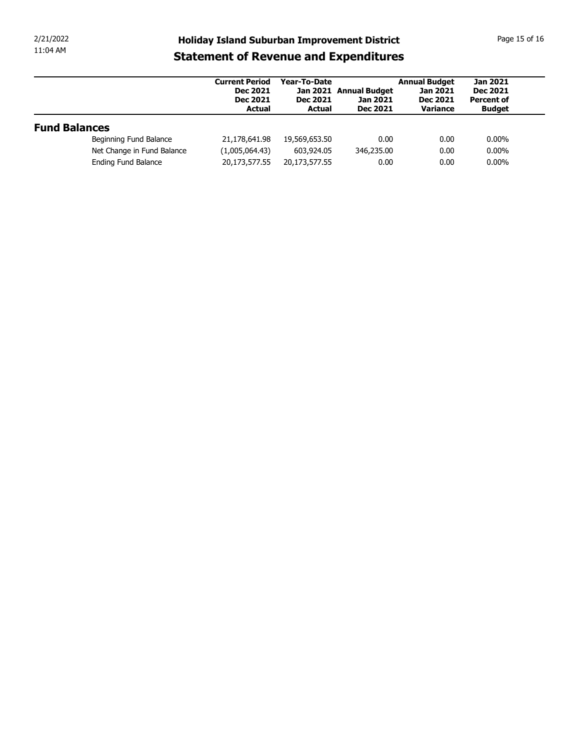| 2/21/2022            |                            | <b>Holiday Island Suburban Improvement District</b>                          |                                                  |                                                       |                                                                 | Page 15 of 16                                                            |
|----------------------|----------------------------|------------------------------------------------------------------------------|--------------------------------------------------|-------------------------------------------------------|-----------------------------------------------------------------|--------------------------------------------------------------------------|
| 11:04 AM             |                            | <b>Statement of Revenue and Expenditures</b>                                 |                                                  |                                                       |                                                                 |                                                                          |
|                      |                            | <b>Current Period</b><br><b>Dec 2021</b><br><b>Dec 2021</b><br><b>Actual</b> | Year-To-Date<br><b>Dec 2021</b><br><b>Actual</b> | Jan 2021 Annual Budget<br>Jan 2021<br><b>Dec 2021</b> | <b>Annual Budget</b><br>Jan 2021<br><b>Dec 2021</b><br>Variance | <b>Jan 2021</b><br><b>Dec 2021</b><br><b>Percent of</b><br><b>Budget</b> |
|                      |                            |                                                                              |                                                  |                                                       |                                                                 |                                                                          |
| <b>Fund Balances</b> |                            |                                                                              |                                                  |                                                       |                                                                 |                                                                          |
|                      | Beginning Fund Balance     | 21,178,641.98                                                                | 19,569,653.50                                    | 0.00                                                  | 0.00                                                            | $0.00\%$                                                                 |
|                      | Net Change in Fund Balance | (1,005,064.43)                                                               | 603,924.05                                       | 346,235.00                                            | 0.00                                                            | $0.00\%$                                                                 |
|                      | Ending Fund Balance        | 20,173,577.55                                                                | 20,173,577.55                                    | 0.00                                                  | 0.00                                                            | $0.00\%$                                                                 |
|                      |                            |                                                                              |                                                  |                                                       |                                                                 |                                                                          |
|                      |                            |                                                                              |                                                  |                                                       |                                                                 |                                                                          |
|                      |                            |                                                                              |                                                  |                                                       |                                                                 |                                                                          |